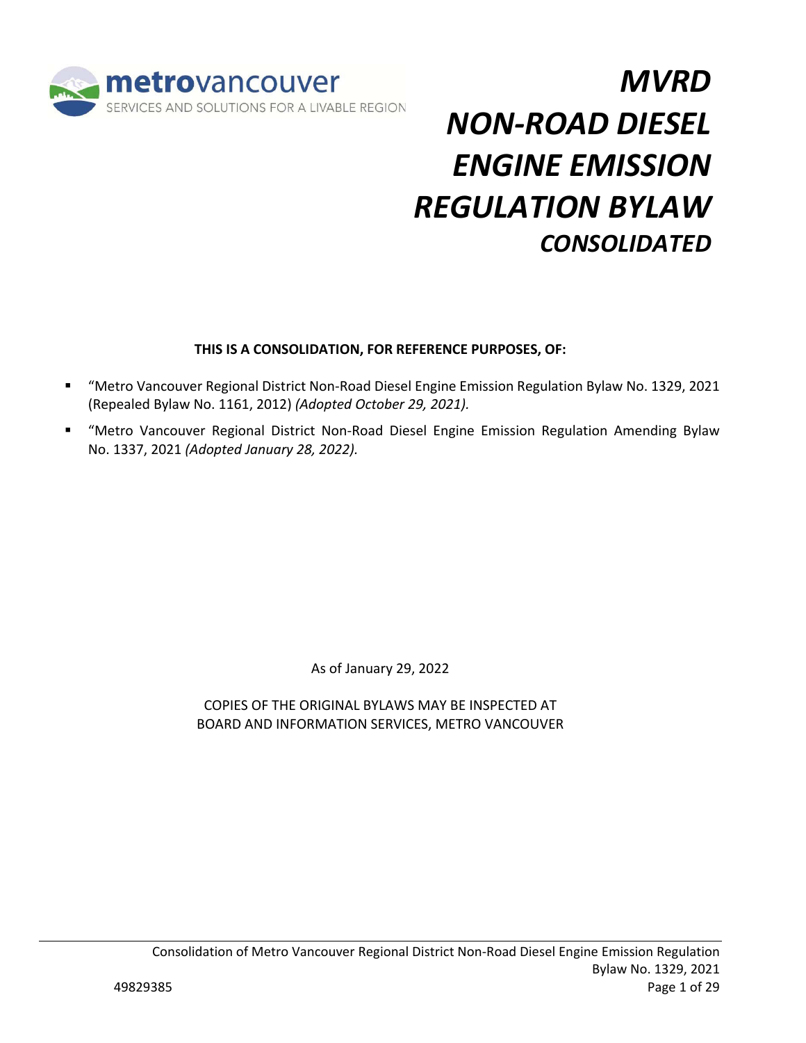

# *MVRD NON‐ROAD DIESEL ENGINE EMISSION REGULATION BYLAW CONSOLIDATED*

## **THIS IS A CONSOLIDATION, FOR REFERENCE PURPOSES, OF:**

- "Metro Vancouver Regional District Non‐Road Diesel Engine Emission Regulation Bylaw No. 1329, 2021 (Repealed Bylaw No. 1161, 2012) *(Adopted October 29, 2021).*
- "Metro Vancouver Regional District Non-Road Diesel Engine Emission Regulation Amending Bylaw No. 1337, 2021 *(Adopted January 28, 2022).*

As of January 29, 2022

COPIES OF THE ORIGINAL BYLAWS MAY BE INSPECTED AT BOARD AND INFORMATION SERVICES, METRO VANCOUVER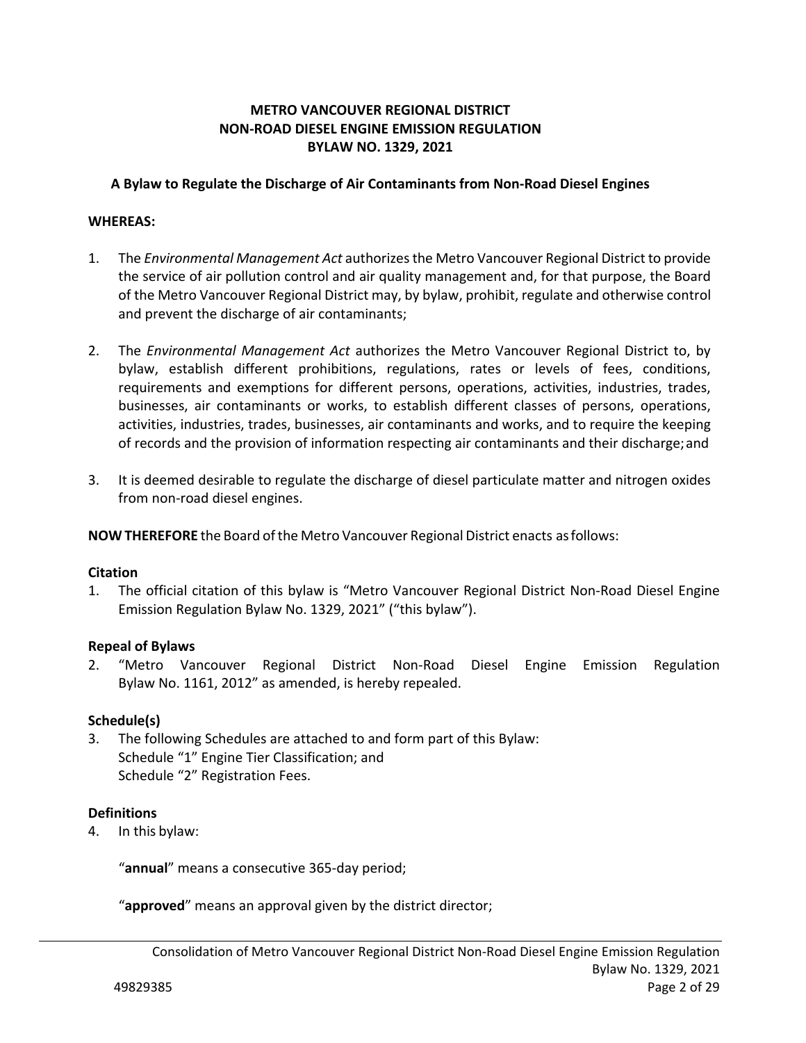## **METRO VANCOUVER REGIONAL DISTRICT NON‐ROAD DIESEL ENGINE EMISSION REGULATION BYLAW NO. 1329, 2021**

### **A Bylaw to Regulate the Discharge of Air Contaminants from Non‐Road Diesel Engines**

## **WHEREAS:**

- 1. The *Environmental Management Act* authorizes the Metro Vancouver Regional District to provide the service of air pollution control and air quality management and, for that purpose, the Board of the Metro Vancouver Regional District may, by bylaw, prohibit, regulate and otherwise control and prevent the discharge of air contaminants;
- 2. The *Environmental Management Act*  authorizes the Metro Vancouver Regional District to, by bylaw, establish different prohibitions, regulations, rates or levels of fees, conditions, requirements and exemptions for different persons, operations, activities, industries, trades, businesses, air contaminants or works, to establish different classes of persons, operations, activities, industries, trades, businesses, air contaminants and works, and to require the keeping of records and the provision of information respecting air contaminants and their discharge; and
- 3. It is deemed desirable to regulate the discharge of diesel particulate matter and nitrogen oxides from non‐road diesel engines.

**NOW THEREFORE** the Board of the Metro Vancouver Regional District enacts as follows:

#### **Citation**

1. The official citation of this bylaw is "Metro Vancouver Regional District Non‐Road Diesel Engine Emission Regulation Bylaw No. 1329, 2021" ("this bylaw").

## **Repeal of Bylaws**

2. "Metro Vancouver Regional District Non‐Road Diesel Engine Emission Regulation Bylaw No. 1161, 2012" as amended, is hereby repealed.

#### **Schedule(s)**

3. The following Schedules are attached to and form part of this Bylaw: Schedule "1" Engine Tier Classification; and Schedule "2" Registration Fees.

#### **Definitions**

4. In this bylaw:

"**annual**" means a consecutive 365‐day period;

"**approved**" means an approval given by the district director;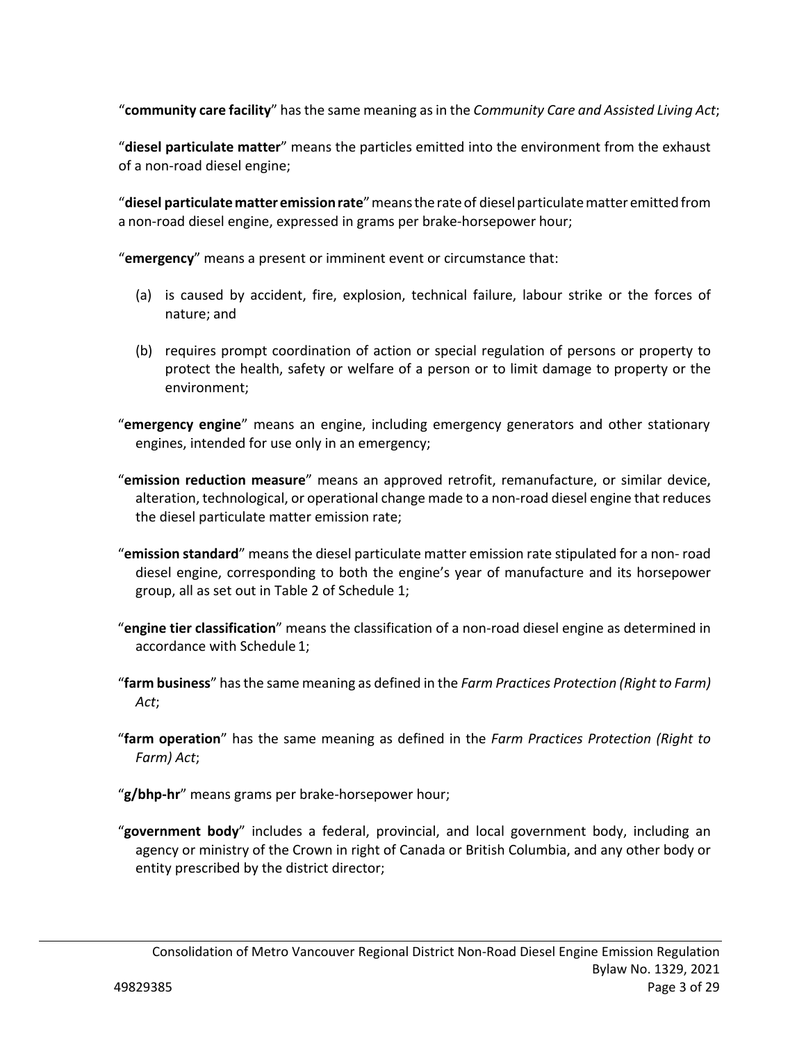"**community care facility**" has the same meaning as in the *Community Care and Assisted Living Act*;

"**diesel particulate matter**" means the particles emitted into the environment from the exhaust of a non‐road diesel engine;

"**diesel particulate matter emission rate**" means the rate of diesel particulate matter emitted from a non‐road diesel engine, expressed in grams per brake‐horsepower hour;

"**emergency**" means a present or imminent event or circumstance that:

- (a) is caused by accident, fire, explosion, technical failure, labour strike or the forces of nature; and
- (b) requires prompt coordination of action or special regulation of persons or property to protect the health, safety or welfare of a person or to limit damage to property or the environment;
- "**emergency engine**" means an engine, including emergency generators and other stationary engines, intended for use only in an emergency;
- "**emission reduction measure**" means an approved retrofit, remanufacture, or similar device, alteration, technological, or operational change made to a non‐road diesel engine that reduces the diesel particulate matter emission rate;
- "**emission standard**" means the diesel particulate matter emission rate stipulated for a non‐ road diesel engine, corresponding to both the engine's year of manufacture and its horsepower group, all as set out in Table 2 of Schedule 1;
- "**engine tier classification**" means the classification of a non‐road diesel engine as determined in accordance with Schedule 1;
- "**farm business**" has the same meaning as defined in the *Farm Practices Protection (Right to Farm) Act*;
- "**farm operation**" has the same meaning as defined in the *Farm Practices Protection (Right to Farm) Act*;

"**g/bhp‐hr**" means grams per brake‐horsepower hour;

"**government body**" includes a federal, provincial, and local government body, including an agency or ministry of the Crown in right of Canada or British Columbia, and any other body or entity prescribed by the district director;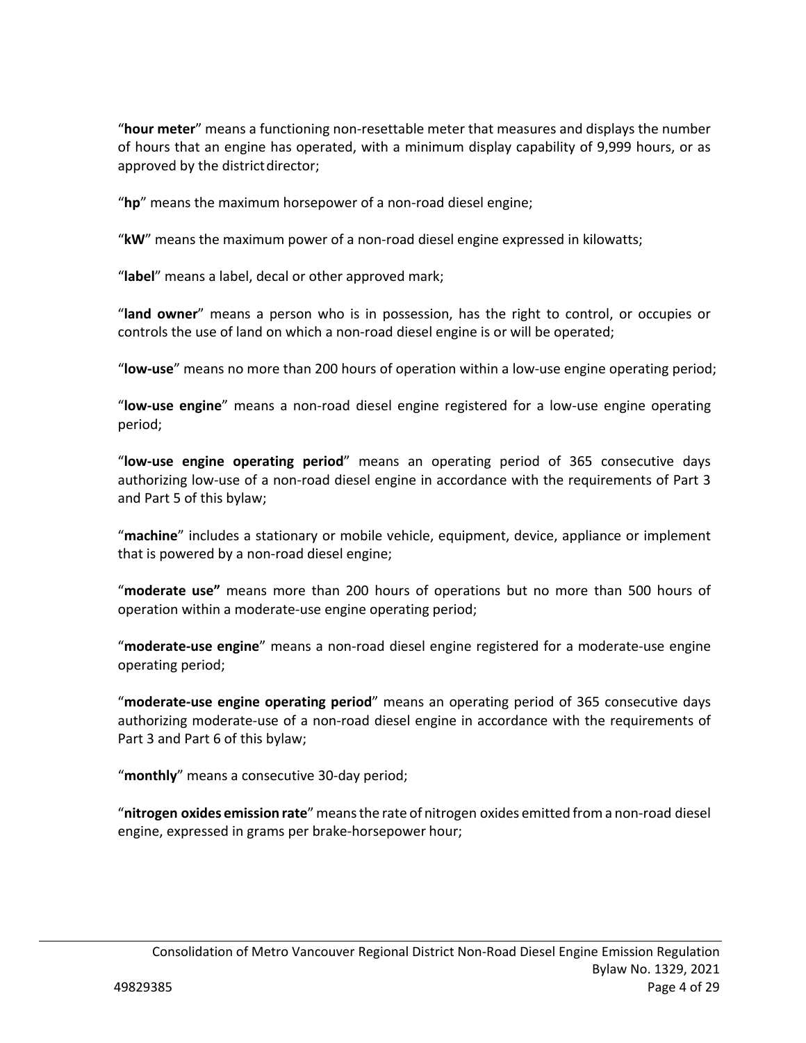"**hour meter**" means a functioning non‐resettable meter that measures and displays the number of hours that an engine has operated, with a minimum display capability of 9,999 hours, or as approved by the district director;

"**hp**" means the maximum horsepower of a non‐road diesel engine;

"**kW**" means the maximum power of a non‐road diesel engine expressed in kilowatts;

"**label**" means a label, decal or other approved mark;

"**land owner**" means a person who is in possession, has the right to control, or occupies or controls the use of land on which a non‐road diesel engine is or will be operated;

"**low‐use**" means no more than 200 hours of operation within a low‐use engine operating period;

"**low‐use engine**" means a non‐road diesel engine registered for a low‐use engine operating period;

"**low‐use engine operating period**" means an operating period of 365 consecutive days authorizing low‐use of a non‐road diesel engine in accordance with the requirements of Part 3 and Part 5 of this bylaw;

"**machine**" includes a stationary or mobile vehicle, equipment, device, appliance or implement that is powered by a non‐road diesel engine;

"**moderate use"** means more than 200 hours of operations but no more than 500 hours of operation within a moderate‐use engine operating period;

"**moderate‐use engine**" means a non‐road diesel engine registered for a moderate‐use engine operating period;

"**moderate‐use engine operating period**" means an operating period of 365 consecutive days authorizing moderate‐use of a non‐road diesel engine in accordance with the requirements of Part 3 and Part 6 of this bylaw;

"**monthly**" means a consecutive 30‐day period;

"**nitrogen oxides emission rate**" means the rate of nitrogen oxides emitted from a non‐road diesel engine, expressed in grams per brake‐horsepower hour;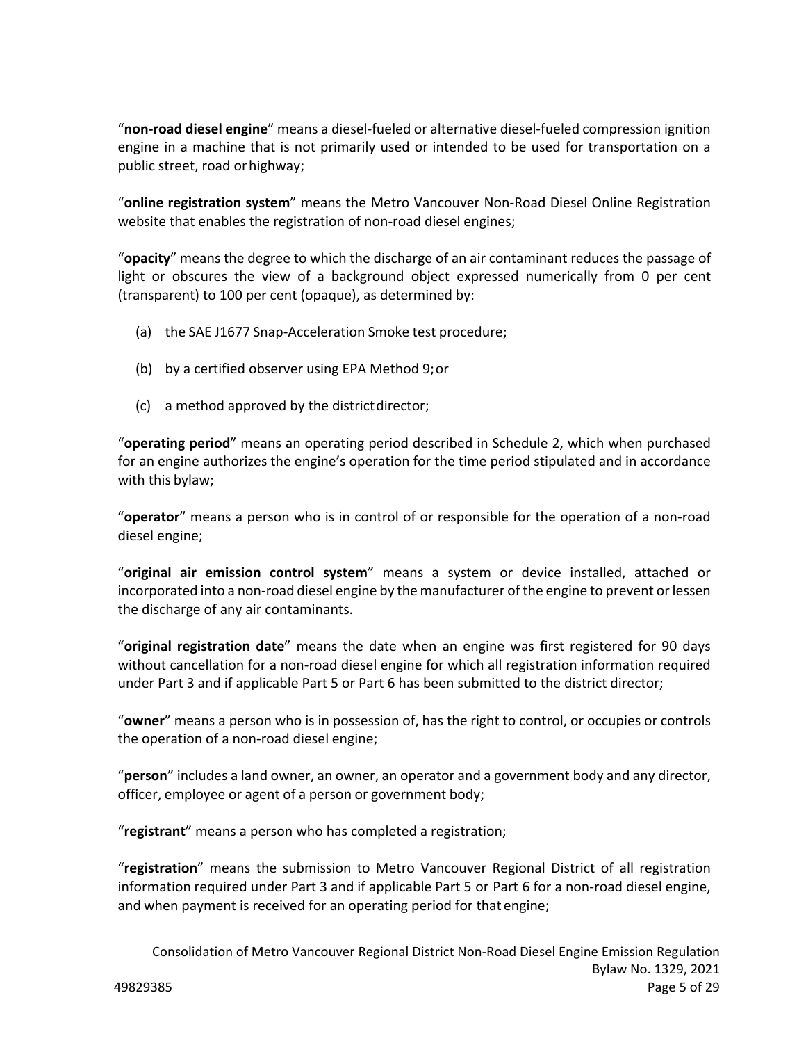"**non‐road diesel engine**" means a diesel‐fueled or alternative diesel‐fueled compression ignition engine in a machine that is not primarily used or intended to be used for transportation on a public street, road or highway;

"**online registration system**" means the Metro Vancouver Non‐Road Diesel Online Registration website that enables the registration of non‐road diesel engines;

"**opacity**" means the degree to which the discharge of an air contaminant reduces the passage of light or obscures the view of a background object expressed numerically from 0 per cent (transparent) to 100 per cent (opaque), as determined by:

- (a) the SAE J1677 Snap‐Acceleration Smoke test procedure;
- (b) by a certified observer using EPA Method 9; or
- (c) a method approved by the district director;

"**operating period**" means an operating period described in Schedule 2, which when purchased for an engine authorizes the engine's operation for the time period stipulated and in accordance with this bylaw;

"**operator**" means a person who is in control of or responsible for the operation of a non‐road diesel engine;

"**original air emission control system**" means a system or device installed, attached or incorporated into a non‐road diesel engine by the manufacturer of the engine to prevent or lessen the discharge of any air contaminants.

"**original registration date**" means the date when an engine was first registered for 90 days without cancellation for a non-road diesel engine for which all registration information required under Part 3 and if applicable Part 5 or Part 6 has been submitted to the district director;

"**owner**" means a person who is in possession of, has the right to control, or occupies or controls the operation of a non‐road diesel engine;

"**person**" includes a land owner, an owner, an operator and a government body and any director, officer, employee or agent of a person or government body;

"**registrant**" means a person who has completed a registration;

"**registration**" means the submission to Metro Vancouver Regional District of all registration information required under Part 3 and if applicable Part 5 or Part 6 for a non‐road diesel engine, and when payment is received for an operating period for that engine;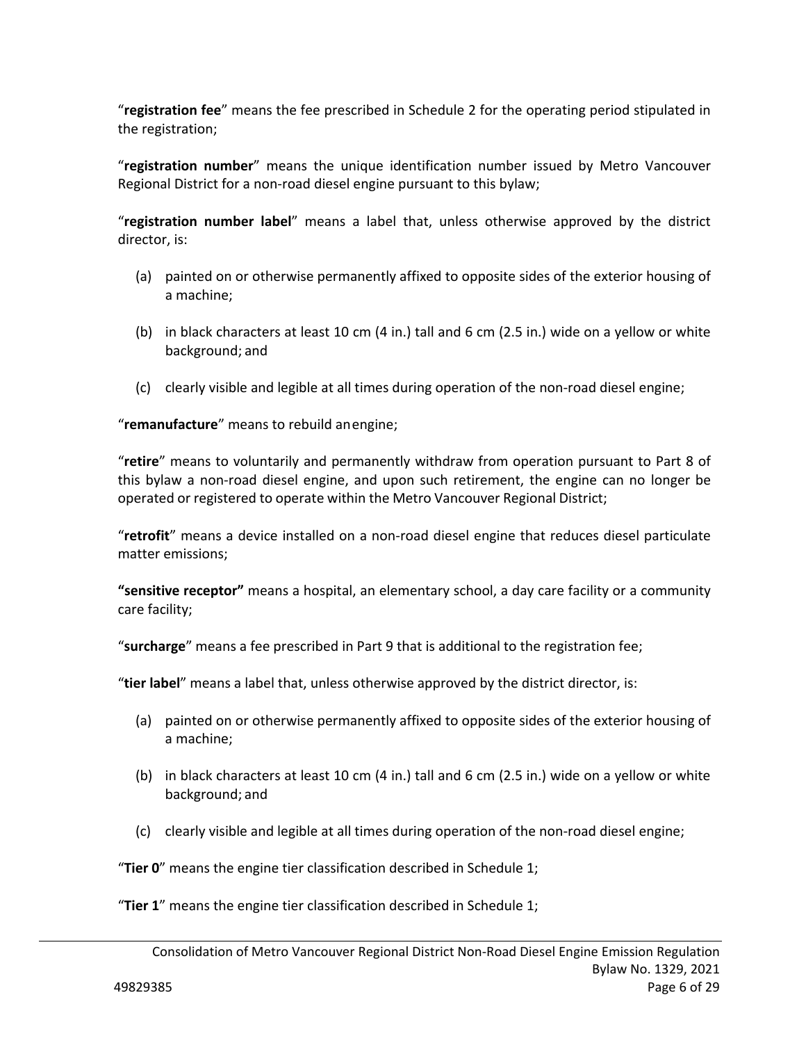"**registration fee**" means the fee prescribed in Schedule 2 for the operating period stipulated in the registration;

"**registration number**" means the unique identification number issued by Metro Vancouver Regional District for a non‐road diesel engine pursuant to this bylaw;

"**registration number label**" means a label that, unless otherwise approved by the district director, is:

- (a) painted on or otherwise permanently affixed to opposite sides of the exterior housing of a machine;
- (b) in black characters at least 10 cm (4 in.) tall and 6 cm (2.5 in.) wide on a yellow or white background; and
- (c) clearly visible and legible at all times during operation of the non‐road diesel engine;

"**remanufacture**" means to rebuild an engine;

"**retire**" means to voluntarily and permanently withdraw from operation pursuant to Part 8 of this bylaw a non‐road diesel engine, and upon such retirement, the engine can no longer be operated or registered to operate within the Metro Vancouver Regional District;

"**retrofit**" means a device installed on a non‐road diesel engine that reduces diesel particulate matter emissions;

**"sensitive receptor"** means a hospital, an elementary school, a day care facility or a community care facility;

"**surcharge**" means a fee prescribed in Part 9 that is additional to the registration fee;

"**tier label**" means a label that, unless otherwise approved by the district director, is:

- (a) painted on or otherwise permanently affixed to opposite sides of the exterior housing of a machine;
- (b) in black characters at least 10 cm (4 in.) tall and 6 cm (2.5 in.) wide on a yellow or white background; and
- (c) clearly visible and legible at all times during operation of the non‐road diesel engine;

"**Tier 0**" means the engine tier classification described in Schedule 1;

"**Tier 1**" means the engine tier classification described in Schedule 1;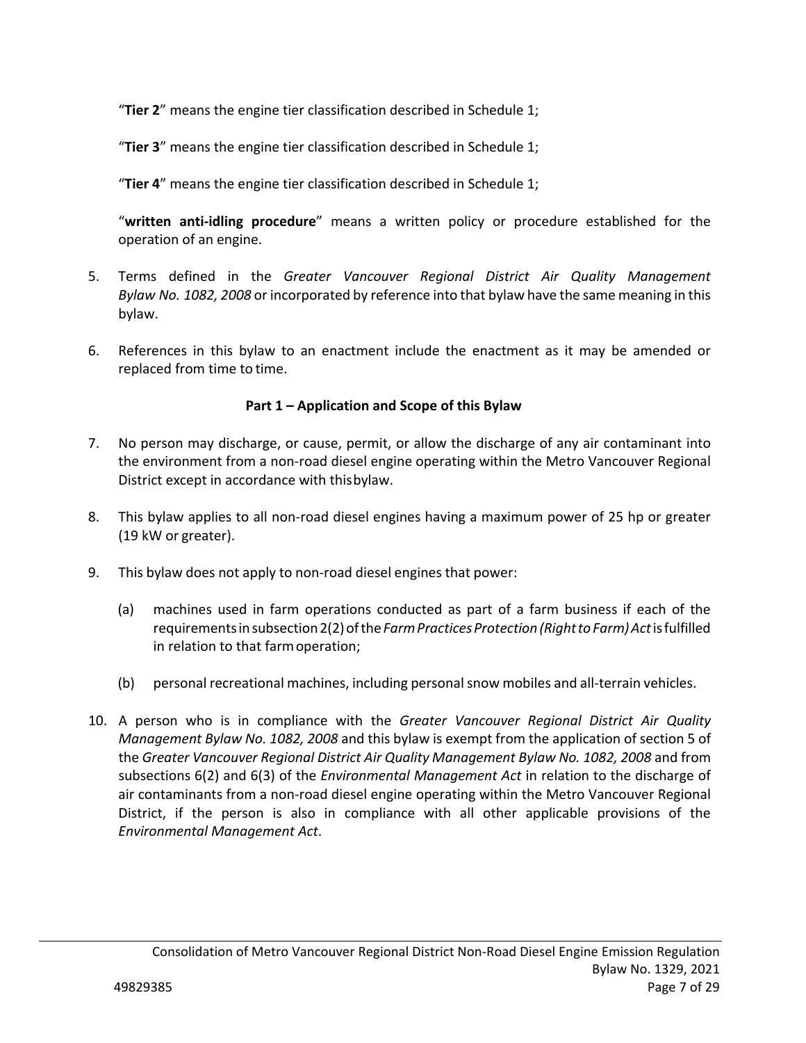"**Tier 2**" means the engine tier classification described in Schedule 1;

"**Tier 3**" means the engine tier classification described in Schedule 1;

"**Tier 4**" means the engine tier classification described in Schedule 1;

"written anti-idling procedure" means a written policy or procedure established for the operation of an engine.

- 5. Terms defined in the *Greater Vancouver Regional District Air Quality Management Bylaw No. 1082, 2008* or incorporated by reference into that bylaw have the same meaning in this bylaw.
- 6. References in this bylaw to an enactment include the enactment as it may be amended or replaced from time to time.

## **Part 1 – Application and Scope of this Bylaw**

- 7. No person may discharge, or cause, permit, or allow the discharge of any air contaminant into the environment from a non‐road diesel engine operating within the Metro Vancouver Regional District except in accordance with this bylaw.
- 8. This bylaw applies to all non‐road diesel engines having a maximum power of 25 hp or greater (19 kW or greater).
- 9. This bylaw does not apply to non-road diesel engines that power:
	- (a) machines used in farm operations conducted as part of a farm business if each of the requirements in subsection 2(2) of the *Farm Practices Protection (Right to Farm) Act* is fulfilled in relation to that farm operation;
	- (b) personal recreational machines, including personal snow mobiles and all‐terrain vehicles.
- 10. A person who is in compliance with the *Greater Vancouver Regional District Air Quality Management Bylaw No. 1082, 2008* and this bylaw is exempt from the application of section 5 of the *Greater Vancouver Regional District Air Quality Management Bylaw No. 1082, 2008* and from subsections 6(2) and 6(3) of the *Environmental Management Act* in relation to the discharge of air contaminants from a non-road diesel engine operating within the Metro Vancouver Regional District, if the person is also in compliance with all other applicable provisions of the *Environmental Management Act*.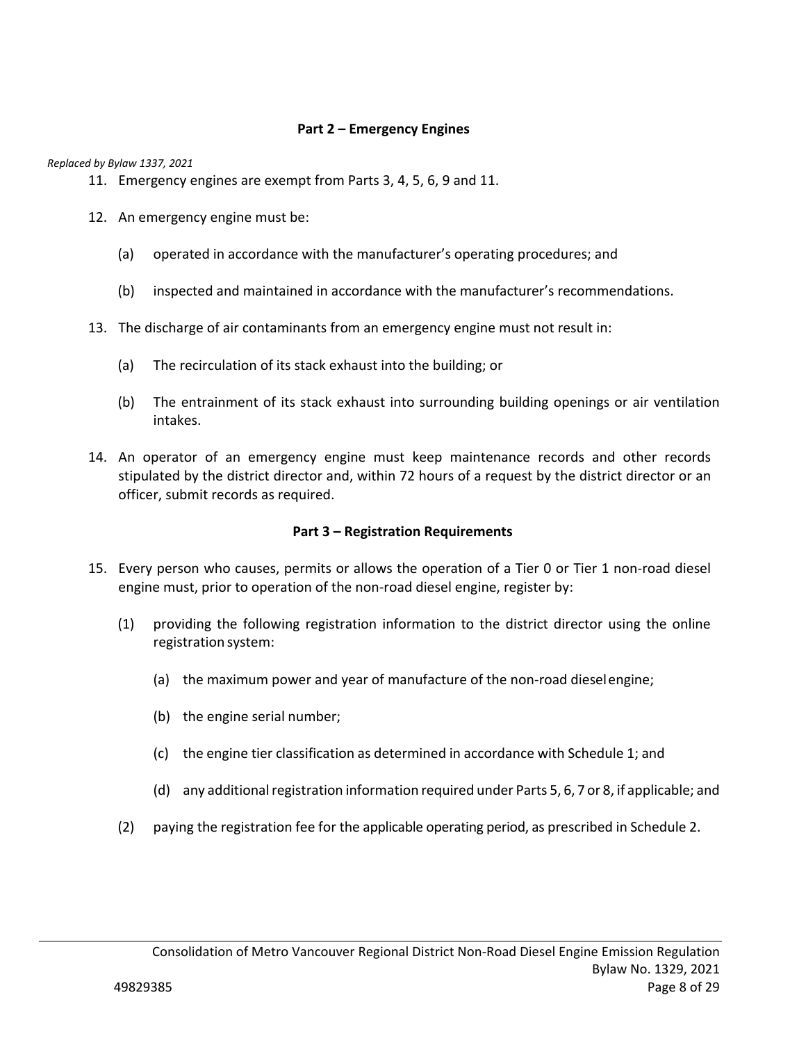### **Part 2 – Emergency Engines**

*Replaced by Bylaw 1337, 2021* 

- 11. Emergency engines are exempt from Parts 3, 4, 5, 6, 9 and 11.
- 12. An emergency engine must be:
	- (a) operated in accordance with the manufacturer's operating procedures; and
	- (b) inspected and maintained in accordance with the manufacturer's recommendations.
- 13. The discharge of air contaminants from an emergency engine must not result in:
	- (a) The recirculation of its stack exhaust into the building; or
	- (b) The entrainment of its stack exhaust into surrounding building openings or air ventilation intakes.
- 14. An operator of an emergency engine must keep maintenance records and other records stipulated by the district director and, within 72 hours of a request by the district director or an officer, submit records as required.

#### **Part 3 – Registration Requirements**

- 15. Every person who causes, permits or allows the operation of a Tier 0 or Tier 1 non‐road diesel engine must, prior to operation of the non-road diesel engine, register by:
	- (1) providing the following registration information to the district director using the online registration system:
		- (a) the maximum power and year of manufacture of the non‐road diesel engine;
		- (b) the engine serial number;
		- (c) the engine tier classification as determined in accordance with Schedule 1; and
		- (d) any additional registration information required under Parts 5, 6, 7 or 8, if applicable; and
	- (2) paying the registration fee for the applicable operating period, as prescribed in Schedule 2.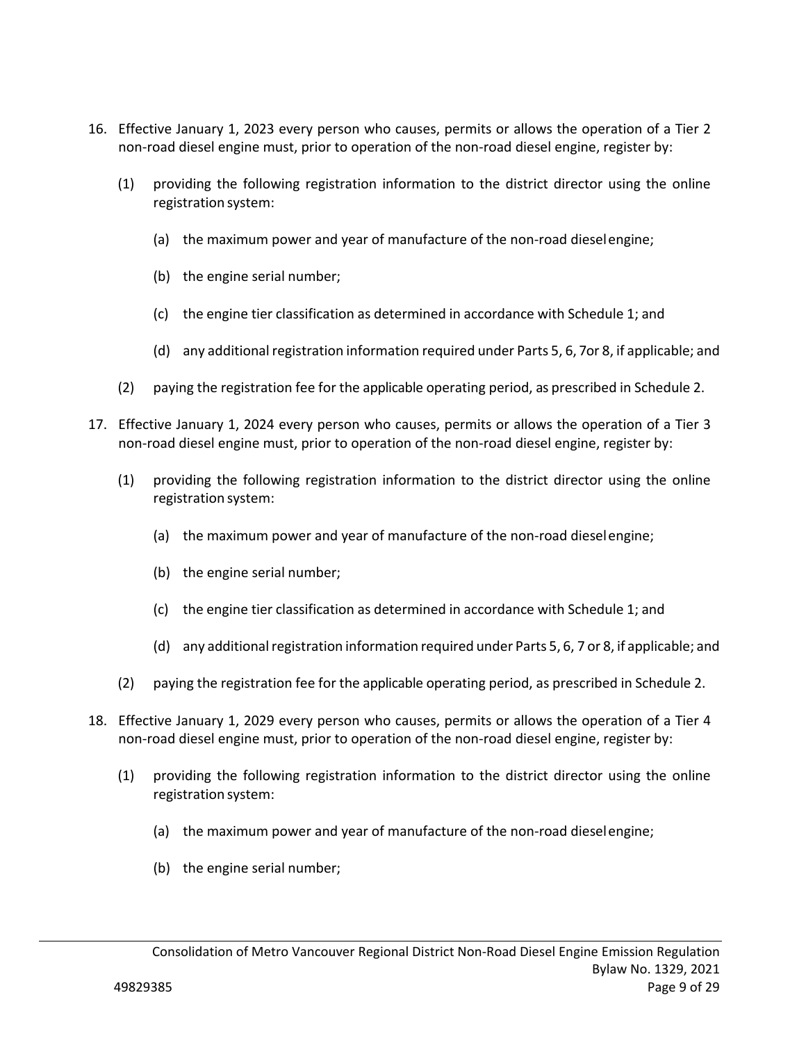- 16. Effective January 1, 2023 every person who causes, permits or allows the operation of a Tier 2 non-road diesel engine must, prior to operation of the non-road diesel engine, register by:
	- (1) providing the following registration information to the district director using the online registration system:
		- (a) the maximum power and year of manufacture of the non‐road diesel engine;
		- (b) the engine serial number;
		- (c) the engine tier classification as determined in accordance with Schedule 1; and
		- (d) any additional registration information required under Parts 5, 6, 7or 8, if applicable; and
	- (2) paying the registration fee for the applicable operating period, as prescribed in Schedule 2.
- 17. Effective January 1, 2024 every person who causes, permits or allows the operation of a Tier 3 non‐road diesel engine must, prior to operation of the non‐road diesel engine, register by:
	- (1) providing the following registration information to the district director using the online registration system:
		- (a) the maximum power and year of manufacture of the non‐road diesel engine;
		- (b) the engine serial number;
		- (c) the engine tier classification as determined in accordance with Schedule 1; and
		- (d) any additional registration information required under Parts 5, 6, 7 or 8, if applicable; and
	- (2) paying the registration fee for the applicable operating period, as prescribed in Schedule 2.
- 18. Effective January 1, 2029 every person who causes, permits or allows the operation of a Tier 4 non-road diesel engine must, prior to operation of the non-road diesel engine, register by:
	- (1) providing the following registration information to the district director using the online registration system:
		- (a) the maximum power and year of manufacture of the non‐road diesel engine;
		- (b) the engine serial number;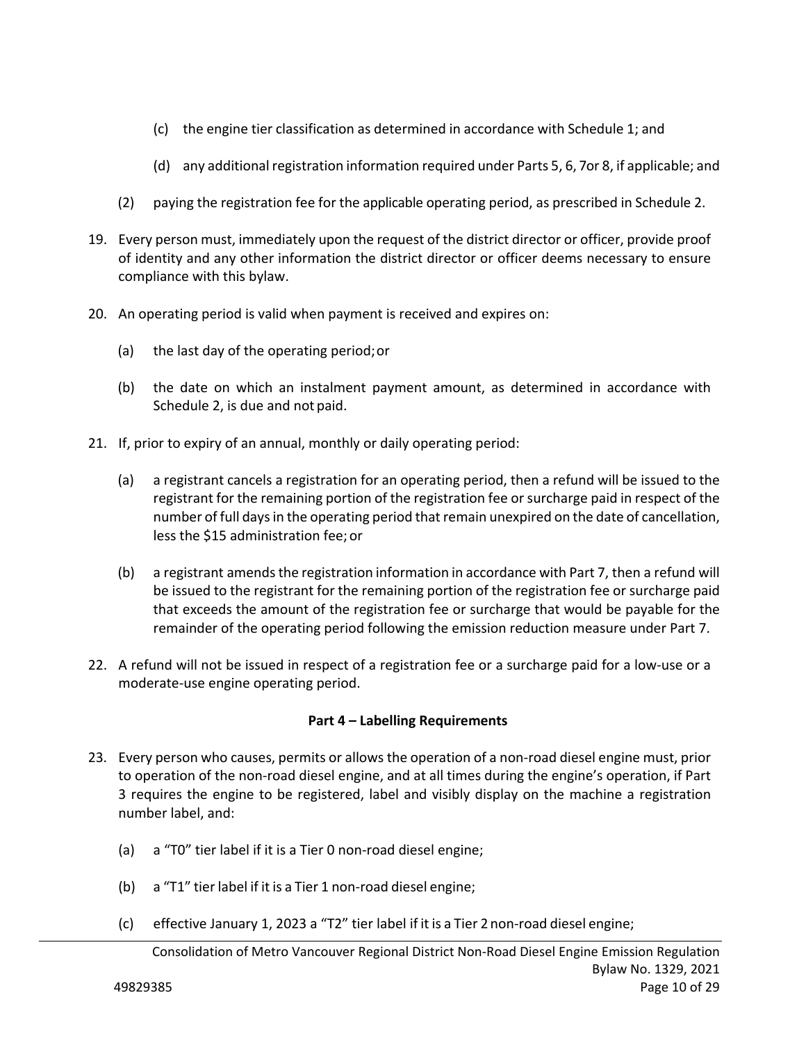- (c) the engine tier classification as determined in accordance with Schedule 1; and
- (d) any additional registration information required under Parts 5, 6, 7or 8, if applicable; and
- (2) paying the registration fee for the applicable operating period, as prescribed in Schedule 2.
- 19. Every person must, immediately upon the request of the district director or officer, provide proof of identity and any other information the district director or officer deems necessary to ensure compliance with this bylaw.
- 20. An operating period is valid when payment is received and expires on:
	- (a) the last day of the operating period; or
	- (b) the date on which an instalment payment amount, as determined in accordance with Schedule 2, is due and not paid.
- 21. If, prior to expiry of an annual, monthly or daily operating period:
	- (a) a registrant cancels a registration for an operating period, then a refund will be issued to the registrant for the remaining portion of the registration fee or surcharge paid in respect of the number of full days in the operating period that remain unexpired on the date of cancellation, less the \$15 administration fee; or
	- (b) a registrant amends the registration information in accordance with Part 7, then a refund will be issued to the registrant for the remaining portion of the registration fee or surcharge paid that exceeds the amount of the registration fee or surcharge that would be payable for the remainder of the operating period following the emission reduction measure under Part 7.
- 22. A refund will not be issued in respect of a registration fee or a surcharge paid for a low-use or a moderate‐use engine operating period.

## **Part 4 – Labelling Requirements**

- 23. Every person who causes, permits or allows the operation of a non‐road diesel engine must, prior to operation of the non‐road diesel engine, and at all times during the engine's operation, if Part 3 requires the engine to be registered, label and visibly display on the machine a registration number label, and:
	- (a) a "T0" tier label if it is a Tier 0 non‐road diesel engine;
	- (b) a "T1" tier label if it is a Tier 1 non‐road diesel engine;
	- (c) effective January 1, 2023 a "T2" tier label if it is a Tier 2 non‐road diesel engine;

Consolidation of Metro Vancouver Regional District Non‐Road Diesel Engine Emission Regulation Bylaw No. 1329, 2021 49829385 Page 10 of 29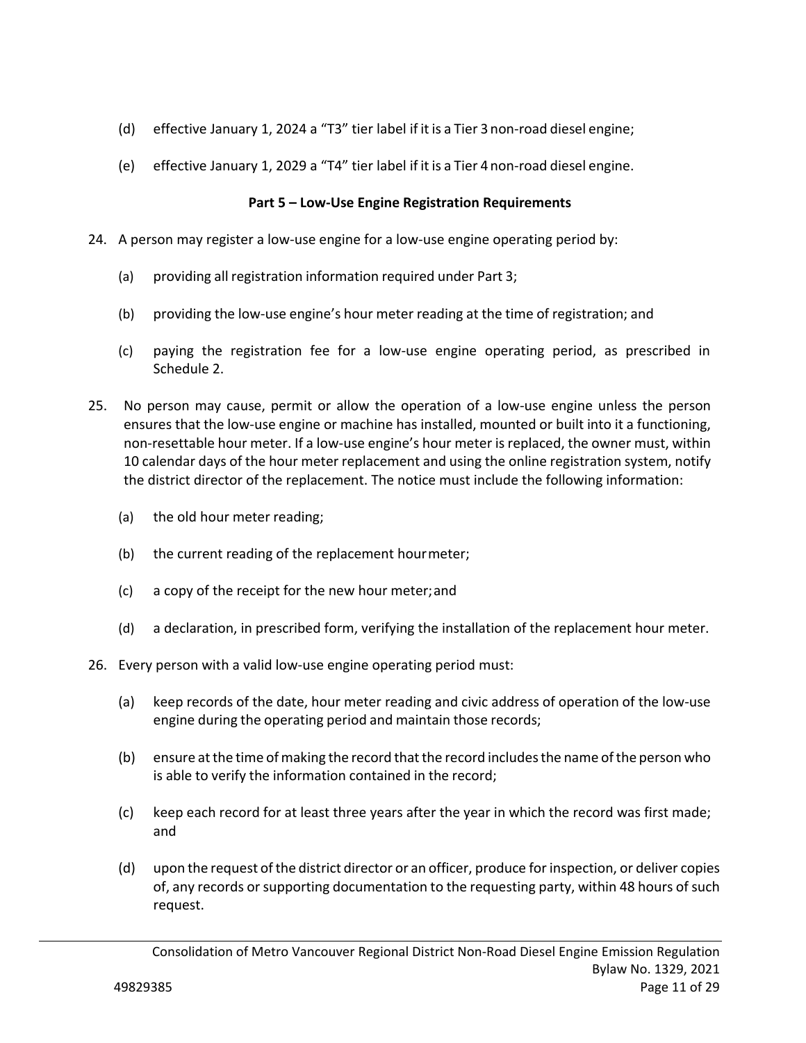- (d) effective January 1, 2024 a "T3" tier label if it is a Tier 3 non‐road diesel engine;
- (e) effective January 1, 2029 a "T4" tier label if it is a Tier 4 non‐road diesel engine.

## **Part 5 – Low‐Use Engine Registration Requirements**

- 24. A person may register a low‐use engine for a low‐use engine operating period by:
	- (a) providing all registration information required under Part 3;
	- (b) providing the low‐use engine's hour meter reading at the time of registration; and
	- (c) paying the registration fee for a low‐use engine operating period, as prescribed in Schedule 2.
- 25. No person may cause, permit or allow the operation of a low-use engine unless the person ensures that the low‐use engine or machine has installed, mounted or built into it a functioning, non-resettable hour meter. If a low-use engine's hour meter is replaced, the owner must, within 10 calendar days of the hour meter replacement and using the online registration system, notify the district director of the replacement. The notice must include the following information:
	- (a) the old hour meter reading;
	- (b) the current reading of the replacement hour meter;
	- (c) a copy of the receipt for the new hour meter; and
	- (d) a declaration, in prescribed form, verifying the installation of the replacement hour meter.
- 26. Every person with a valid low-use engine operating period must:
	- (a) keep records of the date, hour meter reading and civic address of operation of the low‐use engine during the operating period and maintain those records;
	- (b) ensure at the time of making the record that the record includes the name of the person who is able to verify the information contained in the record;
	- (c) keep each record for at least three years after the year in which the record was first made; and
	- (d) upon the request of the district director or an officer, produce for inspection, or deliver copies of, any records or supporting documentation to the requesting party, within 48 hours of such request.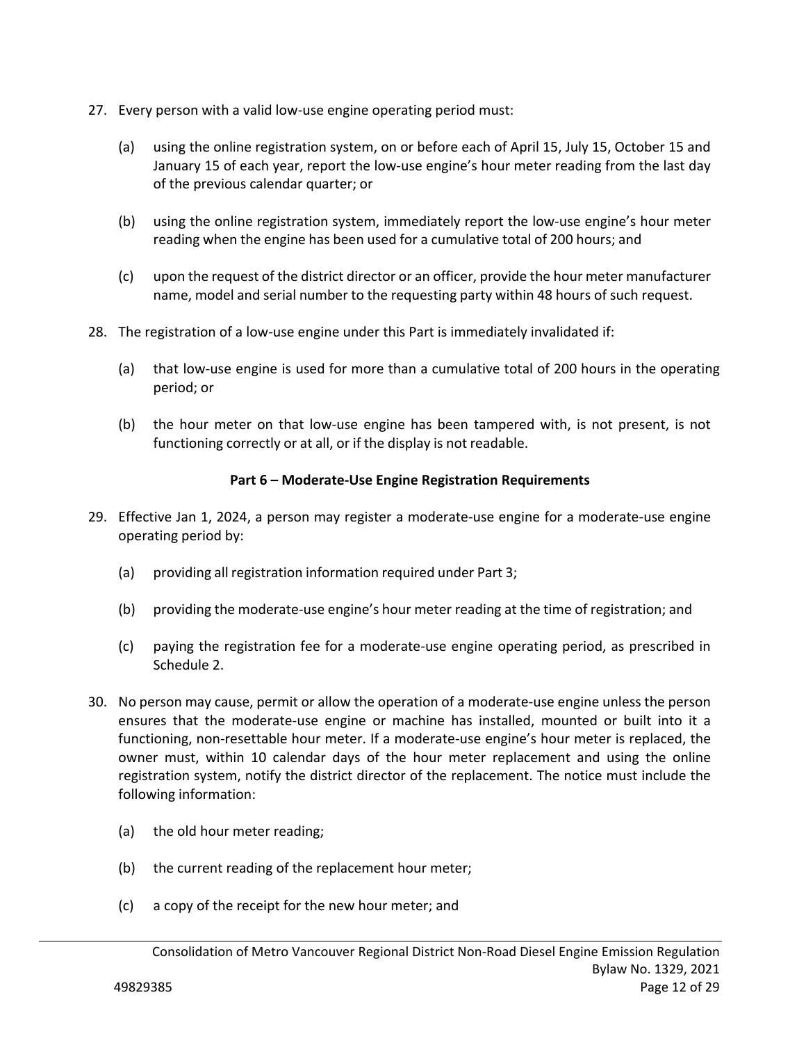- 27. Every person with a valid low-use engine operating period must:
	- (a) using the online registration system, on or before each of April 15, July 15, October 15 and January 15 of each year, report the low‐use engine's hour meter reading from the last day of the previous calendar quarter; or
	- (b) using the online registration system, immediately report the low‐use engine's hour meter reading when the engine has been used for a cumulative total of 200 hours; and
	- (c) upon the request of the district director or an officer, provide the hour meter manufacturer name, model and serial number to the requesting party within 48 hours of such request.
- 28. The registration of a low‐use engine under this Part is immediately invalidated if:
	- (a) that low‐use engine is used for more than a cumulative total of 200 hours in the operating period; or
	- (b) the hour meter on that low-use engine has been tampered with, is not present, is not functioning correctly or at all, or if the display is not readable.

## **Part 6 – Moderate‐Use Engine Registration Requirements**

- 29. Effective Jan 1, 2024, a person may register a moderate‐use engine for a moderate‐use engine operating period by:
	- (a) providing all registration information required under Part 3;
	- (b) providing the moderate‐use engine's hour meter reading at the time of registration; and
	- (c) paying the registration fee for a moderate‐use engine operating period, as prescribed in Schedule 2.
- 30. No person may cause, permit or allow the operation of a moderate‐use engine unless the person ensures that the moderate-use engine or machine has installed, mounted or built into it a functioning, non-resettable hour meter. If a moderate-use engine's hour meter is replaced, the owner must, within 10 calendar days of the hour meter replacement and using the online registration system, notify the district director of the replacement. The notice must include the following information:
	- (a) the old hour meter reading;
	- (b) the current reading of the replacement hour meter;
	- (c) a copy of the receipt for the new hour meter; and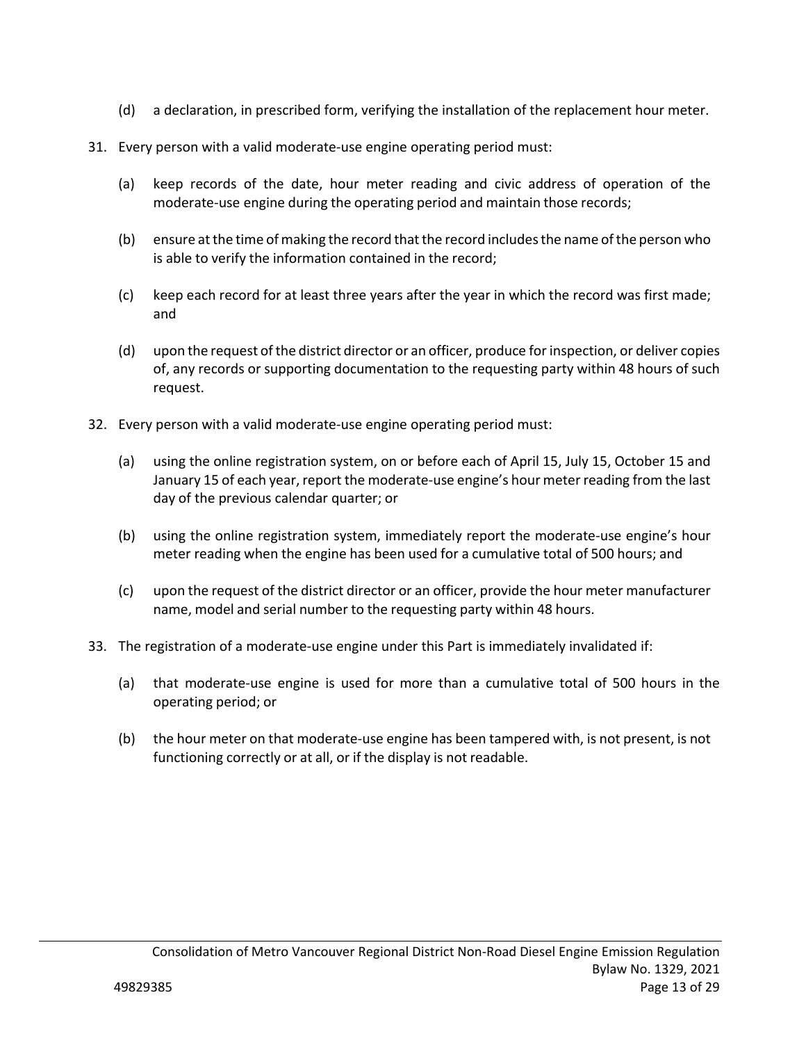- (d) a declaration, in prescribed form, verifying the installation of the replacement hour meter.
- 31. Every person with a valid moderate‐use engine operating period must:
	- (a) keep records of the date, hour meter reading and civic address of operation of the moderate‐use engine during the operating period and maintain those records;
	- (b) ensure at the time of making the record that the record includes the name of the person who is able to verify the information contained in the record;
	- (c) keep each record for at least three years after the year in which the record was first made; and
	- (d) upon the request of the district director or an officer, produce for inspection, or deliver copies of, any records or supporting documentation to the requesting party within 48 hours of such request.
- 32. Every person with a valid moderate‐use engine operating period must:
	- (a) using the online registration system, on or before each of April 15, July 15, October 15 and January 15 of each year, report the moderate‐use engine's hour meter reading from the last day of the previous calendar quarter; or
	- (b) using the online registration system, immediately report the moderate‐use engine's hour meter reading when the engine has been used for a cumulative total of 500 hours; and
	- (c) upon the request of the district director or an officer, provide the hour meter manufacturer name, model and serial number to the requesting party within 48 hours.
- 33. The registration of a moderate‐use engine under this Part is immediately invalidated if:
	- (a) that moderate‐use engine is used for more than a cumulative total of 500 hours in the operating period; or
	- (b) the hour meter on that moderate‐use engine has been tampered with, is not present, is not functioning correctly or at all, or if the display is not readable.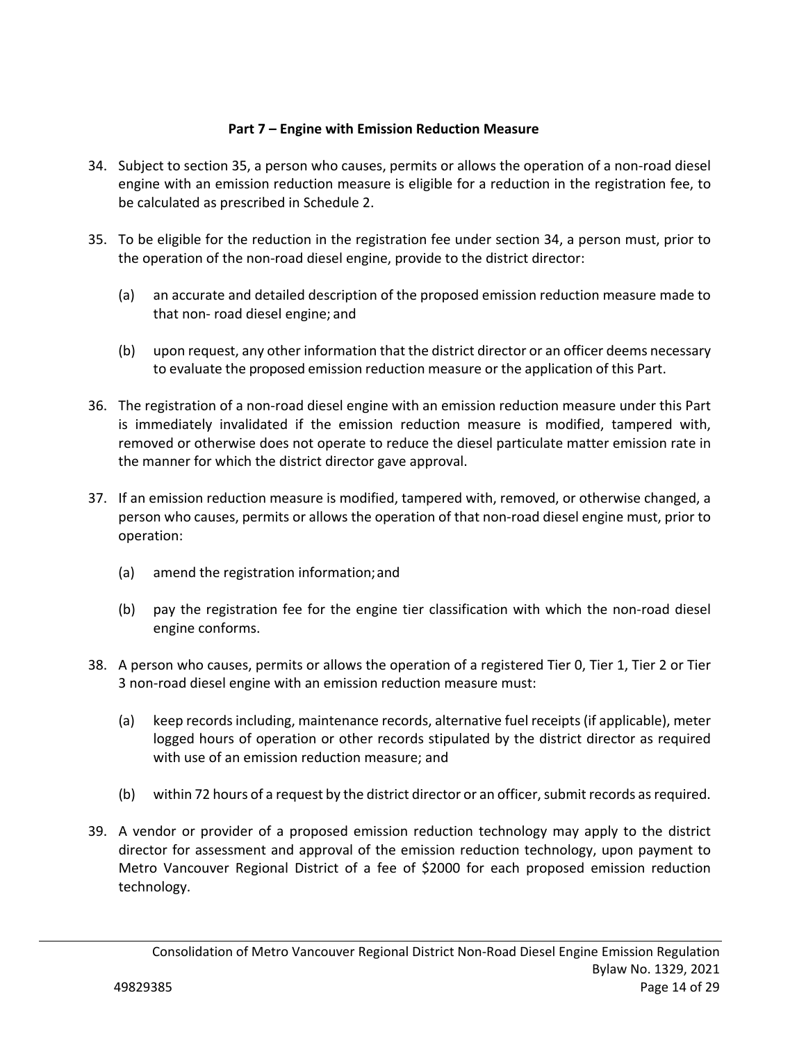## **Part 7 – Engine with Emission Reduction Measure**

- 34. Subject to section 35, a person who causes, permits or allows the operation of a non‐road diesel engine with an emission reduction measure is eligible for a reduction in the registration fee, to be calculated as prescribed in Schedule 2.
- 35. To be eligible for the reduction in the registration fee under section 34, a person must, prior to the operation of the non‐road diesel engine, provide to the district director:
	- (a) an accurate and detailed description of the proposed emission reduction measure made to that non‐ road diesel engine; and
	- (b) upon request, any other information that the district director or an officer deems necessary to evaluate the proposed emission reduction measure or the application of this Part.
- 36. The registration of a non‐road diesel engine with an emission reduction measure under this Part is immediately invalidated if the emission reduction measure is modified, tampered with, removed or otherwise does not operate to reduce the diesel particulate matter emission rate in the manner for which the district director gave approval.
- 37. If an emission reduction measure is modified, tampered with, removed, or otherwise changed, a person who causes, permits or allows the operation of that non‐road diesel engine must, prior to operation:
	- (a) amend the registration information; and
	- (b) pay the registration fee for the engine tier classification with which the non‐road diesel engine conforms.
- 38. A person who causes, permits or allows the operation of a registered Tier 0, Tier 1, Tier 2 or Tier 3 non‐road diesel engine with an emission reduction measure must:
	- (a) keep records including, maintenance records, alternative fuel receipts (if applicable), meter logged hours of operation or other records stipulated by the district director as required with use of an emission reduction measure; and
	- (b) within 72 hours of a request by the district director or an officer, submit records as required.
- 39. A vendor or provider of a proposed emission reduction technology may apply to the district director for assessment and approval of the emission reduction technology, upon payment to Metro Vancouver Regional District of a fee of \$2000 for each proposed emission reduction technology.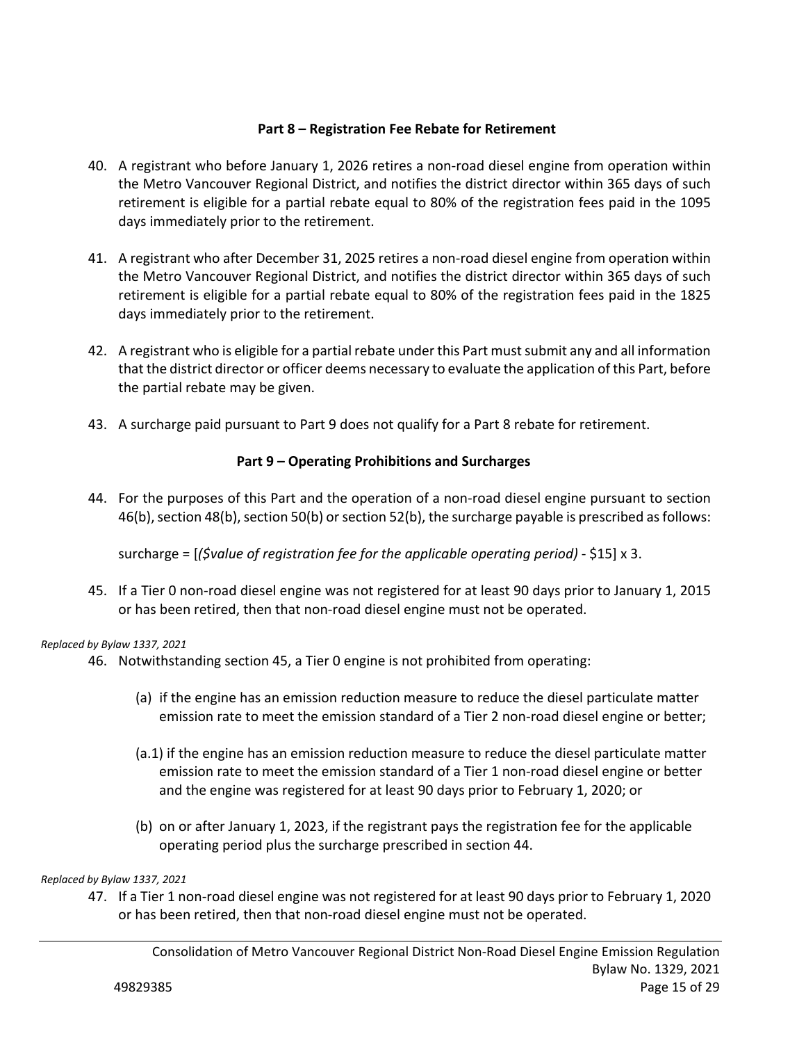## **Part 8 – Registration Fee Rebate for Retirement**

- 40. A registrant who before January 1, 2026 retires a non‐road diesel engine from operation within the Metro Vancouver Regional District, and notifies the district director within 365 days of such retirement is eligible for a partial rebate equal to 80% of the registration fees paid in the 1095 days immediately prior to the retirement.
- 41. A registrant who after December 31, 2025 retires a non-road diesel engine from operation within the Metro Vancouver Regional District, and notifies the district director within 365 days of such retirement is eligible for a partial rebate equal to 80% of the registration fees paid in the 1825 days immediately prior to the retirement.
- 42. A registrant who is eligible for a partial rebate under this Part must submit any and all information that the district director or officer deems necessary to evaluate the application of this Part, before the partial rebate may be given.
- 43. A surcharge paid pursuant to Part 9 does not qualify for a Part 8 rebate for retirement.

## **Part 9 – Operating Prohibitions and Surcharges**

44. For the purposes of this Part and the operation of a non-road diesel engine pursuant to section 46(b), section 48(b), section 50(b) or section 52(b), the surcharge payable is prescribed as follows:

surcharge = [*(\$value of registration fee for the applicable operating period)* - \$15] x 3.

45. If a Tier 0 non‐road diesel engine was not registered for at least 90 days prior to January 1, 2015 or has been retired, then that non‐road diesel engine must not be operated.

#### *Replaced by Bylaw 1337, 2021*

- 46. Notwithstanding section 45, a Tier 0 engine is not prohibited from operating:
	- (a) if the engine has an emission reduction measure to reduce the diesel particulate matter emission rate to meet the emission standard of a Tier 2 non-road diesel engine or better;
	- (a.1) if the engine has an emission reduction measure to reduce the diesel particulate matter emission rate to meet the emission standard of a Tier 1 non-road diesel engine or better and the engine was registered for at least 90 days prior to February 1, 2020; or
	- (b) on or after January 1, 2023, if the registrant pays the registration fee for the applicable operating period plus the surcharge prescribed in section 44.

#### *Replaced by Bylaw 1337, 2021*

47. If a Tier 1 non‐road diesel engine was not registered for at least 90 days prior to February 1, 2020 or has been retired, then that non‐road diesel engine must not be operated.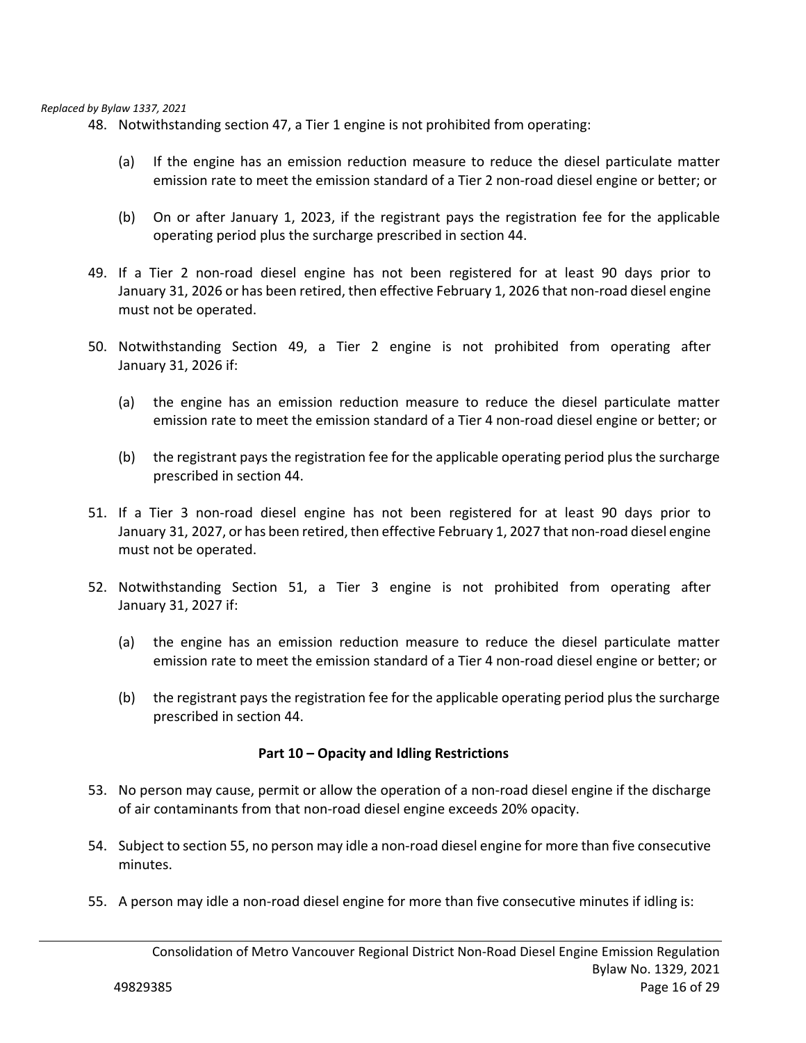#### *Replaced by Bylaw 1337, 2021*

48. Notwithstanding section 47, a Tier 1 engine is not prohibited from operating:

- (a) If the engine has an emission reduction measure to reduce the diesel particulate matter emission rate to meet the emission standard of a Tier 2 non-road diesel engine or better; or
- (b) On or after January 1, 2023, if the registrant pays the registration fee for the applicable operating period plus the surcharge prescribed in section 44.
- 49. If a Tier 2 non-road diesel engine has not been registered for at least 90 days prior to January 31, 2026 or has been retired, then effective February 1, 2026 that non‐road diesel engine must not be operated.
- 50. Notwithstanding Section 49, a Tier 2 engine is not prohibited from operating after January 31, 2026 if:
	- (a) the engine has an emission reduction measure to reduce the diesel particulate matter emission rate to meet the emission standard of a Tier 4 non-road diesel engine or better; or
	- (b) the registrant pays the registration fee for the applicable operating period plus the surcharge prescribed in section 44.
- 51. If a Tier 3 non-road diesel engine has not been registered for at least 90 days prior to January 31, 2027, or has been retired, then effective February 1, 2027 that non‐road diesel engine must not be operated.
- 52. Notwithstanding Section 51, a Tier 3 engine is not prohibited from operating after January 31, 2027 if:
	- (a) the engine has an emission reduction measure to reduce the diesel particulate matter emission rate to meet the emission standard of a Tier 4 non-road diesel engine or better; or
	- (b) the registrant pays the registration fee for the applicable operating period plus the surcharge prescribed in section 44.

#### **Part 10 – Opacity and Idling Restrictions**

- 53. No person may cause, permit or allow the operation of a non-road diesel engine if the discharge of air contaminants from that non‐road diesel engine exceeds 20% opacity.
- 54. Subject to section 55, no person may idle a non-road diesel engine for more than five consecutive minutes.
- 55. A person may idle a non-road diesel engine for more than five consecutive minutes if idling is: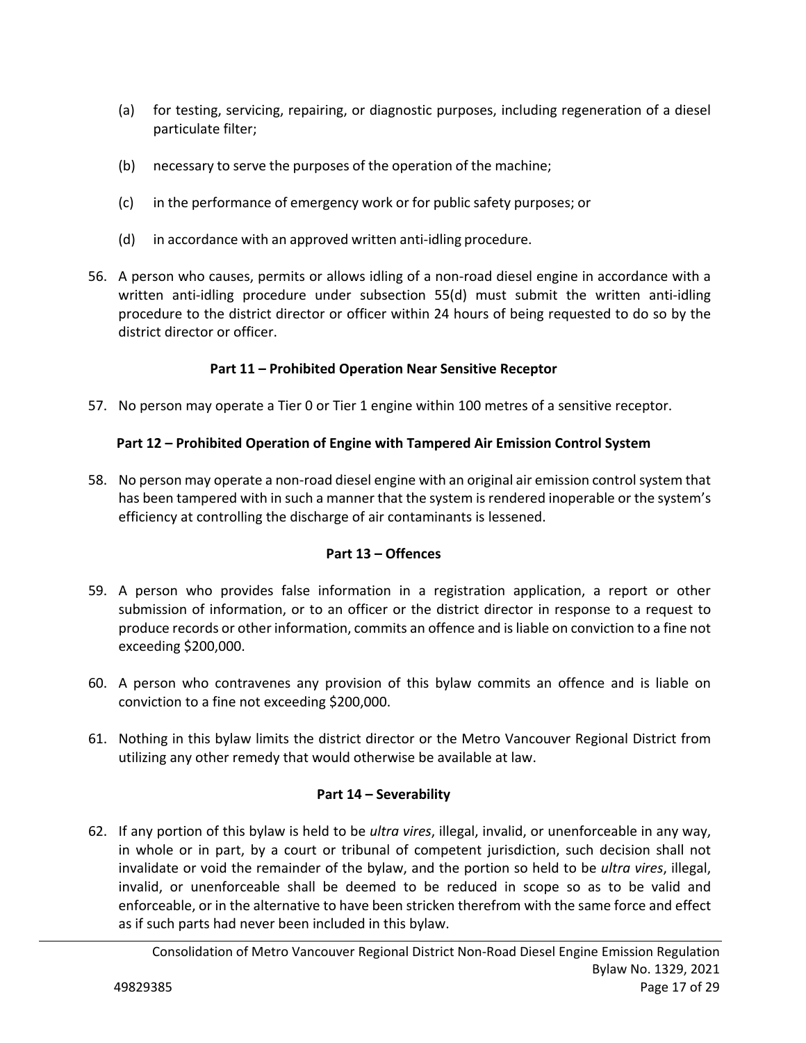- (a) for testing, servicing, repairing, or diagnostic purposes, including regeneration of a diesel particulate filter;
- (b) necessary to serve the purposes of the operation of the machine;
- (c) in the performance of emergency work or for public safety purposes; or
- (d) in accordance with an approved written anti-idling procedure.
- 56. A person who causes, permits or allows idling of a non‐road diesel engine in accordance with a written anti-idling procedure under subsection 55(d) must submit the written anti-idling procedure to the district director or officer within 24 hours of being requested to do so by the district director or officer.

## **Part 11 – Prohibited Operation Near Sensitive Receptor**

57. No person may operate a Tier 0 or Tier 1 engine within 100 metres of a sensitive receptor.

## **Part 12 – Prohibited Operation of Engine with Tampered Air Emission Control System**

58. No person may operate a non‐road diesel engine with an original air emission control system that has been tampered with in such a manner that the system is rendered inoperable or the system's efficiency at controlling the discharge of air contaminants is lessened.

## **Part 13 – Offences**

- 59. A person who provides false information in a registration application, a report or other submission of information, or to an officer or the district director in response to a request to produce records or other information, commits an offence and is liable on conviction to a fine not exceeding \$200,000.
- 60. A person who contravenes any provision of this bylaw commits an offence and is liable on conviction to a fine not exceeding \$200,000.
- 61. Nothing in this bylaw limits the district director or the Metro Vancouver Regional District from utilizing any other remedy that would otherwise be available at law.

## **Part 14 – Severability**

62. If any portion of this bylaw is held to be *ultra vires*, illegal, invalid, or unenforceable in any way, in whole or in part, by a court or tribunal of competent jurisdiction, such decision shall not invalidate or void the remainder of the bylaw, and the portion so held to be *ultra vires*, illegal, invalid, or unenforceable shall be deemed to be reduced in scope so as to be valid and enforceable, or in the alternative to have been stricken therefrom with the same force and effect as if such parts had never been included in this bylaw.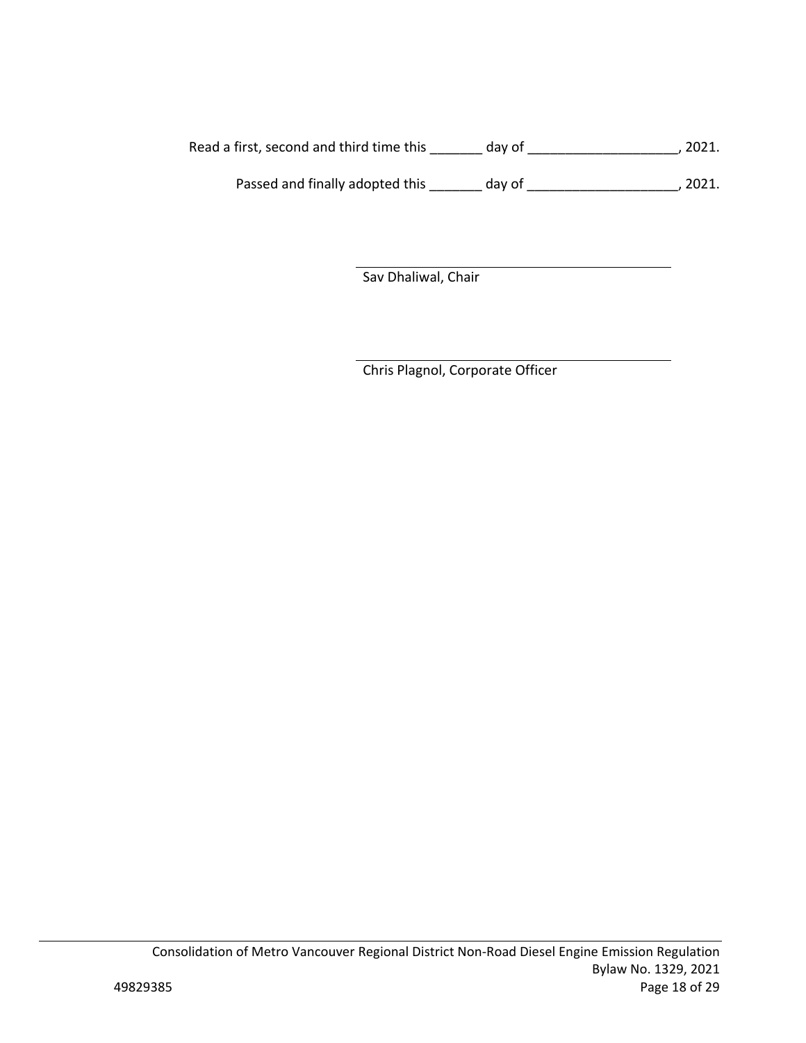Read a first, second and third time this \_\_\_\_\_\_\_ day of \_\_\_\_\_\_\_\_\_\_\_\_\_\_\_\_\_\_\_\_\_, 2021.

Passed and finally adopted this \_\_\_\_\_\_\_ day of \_\_\_\_\_\_\_\_\_\_\_\_\_\_\_\_\_\_\_\_\_\_, 2021.

Sav Dhaliwal, Chair

Chris Plagnol, Corporate Officer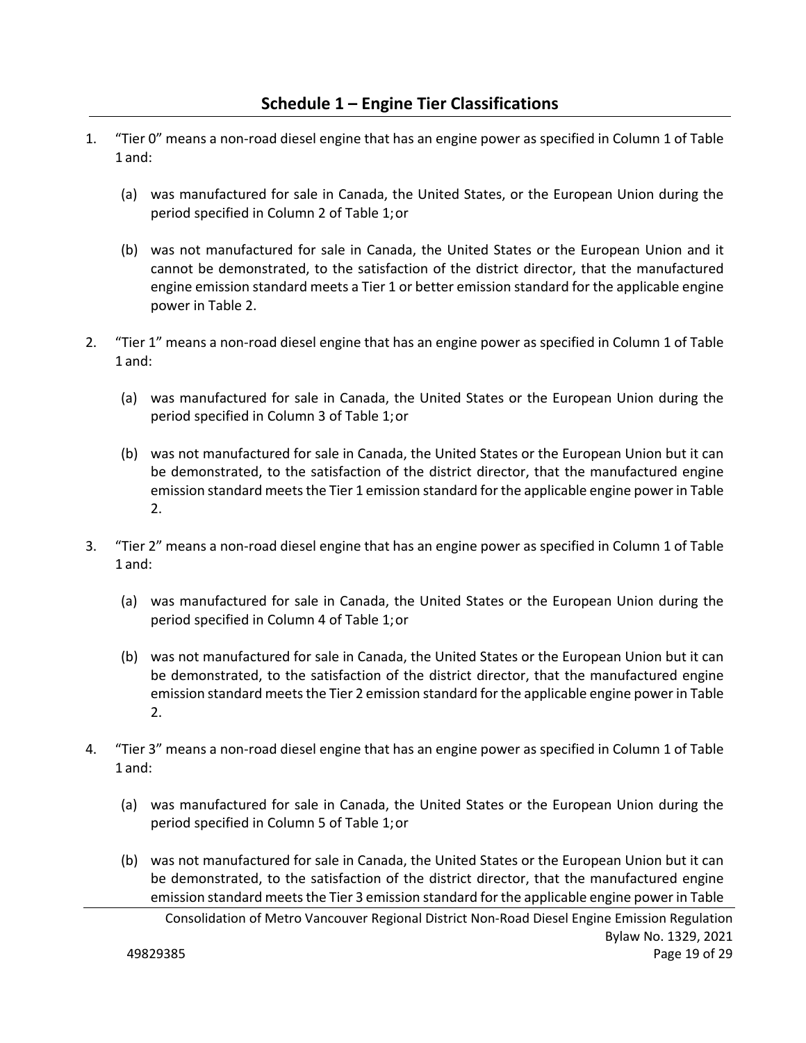- 1. "Tier 0" means a non‐road diesel engine that has an engine power as specified in Column 1 of Table 1 and:
	- (a) was manufactured for sale in Canada, the United States, or the European Union during the period specified in Column 2 of Table 1; or
	- (b) was not manufactured for sale in Canada, the United States or the European Union and it cannot be demonstrated, to the satisfaction of the district director, that the manufactured engine emission standard meets a Tier 1 or better emission standard for the applicable engine power in Table 2.
- 2. "Tier 1" means a non‐road diesel engine that has an engine power as specified in Column 1 of Table 1 and:
	- (a) was manufactured for sale in Canada, the United States or the European Union during the period specified in Column 3 of Table 1; or
	- (b) was not manufactured for sale in Canada, the United States or the European Union but it can be demonstrated, to the satisfaction of the district director, that the manufactured engine emission standard meets the Tier 1 emission standard for the applicable engine power in Table 2.
- 3. "Tier 2" means a non‐road diesel engine that has an engine power as specified in Column 1 of Table 1 and:
	- (a) was manufactured for sale in Canada, the United States or the European Union during the period specified in Column 4 of Table 1; or
	- (b) was not manufactured for sale in Canada, the United States or the European Union but it can be demonstrated, to the satisfaction of the district director, that the manufactured engine emission standard meets the Tier 2 emission standard for the applicable engine power in Table 2.
- 4. "Tier 3" means a non‐road diesel engine that has an engine power as specified in Column 1 of Table 1 and:
	- (a) was manufactured for sale in Canada, the United States or the European Union during the period specified in Column 5 of Table 1; or
	- (b) was not manufactured for sale in Canada, the United States or the European Union but it can be demonstrated, to the satisfaction of the district director, that the manufactured engine emission standard meets the Tier 3 emission standard for the applicable engine power in Table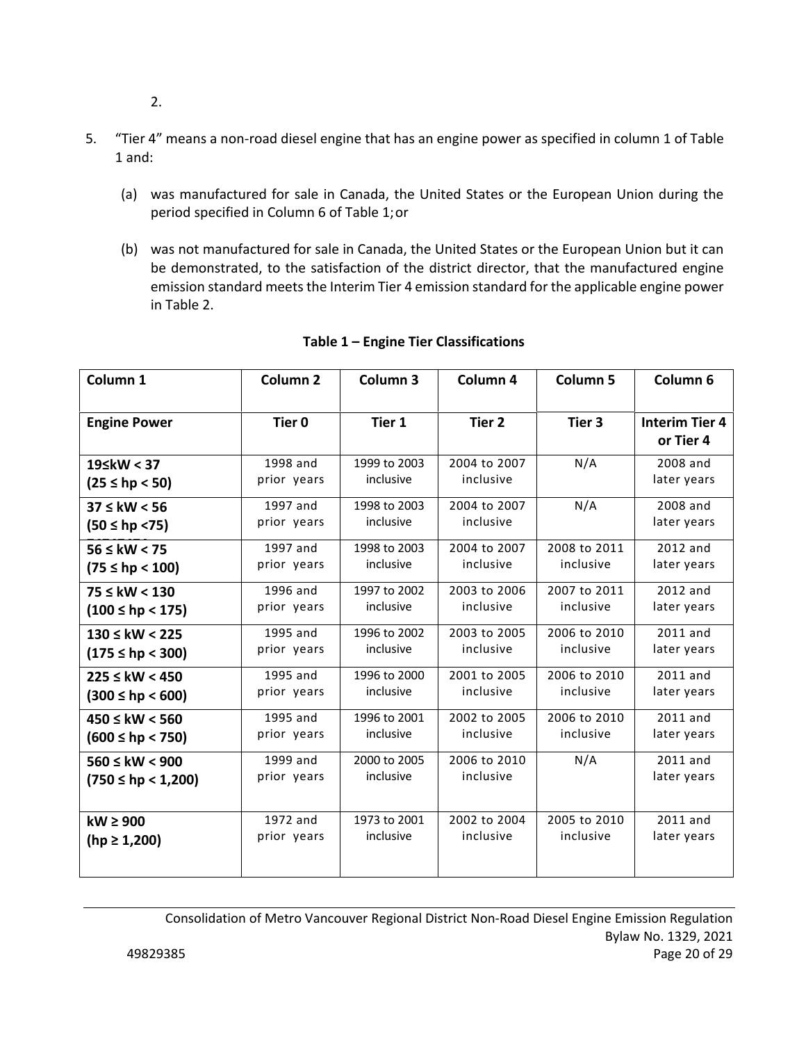- 2.
- 5. "Tier 4" means a non-road diesel engine that has an engine power as specified in column 1 of Table 1 and:
	- (a) was manufactured for sale in Canada, the United States or the European Union during the period specified in Column 6 of Table 1; or
	- (b) was not manufactured for sale in Canada, the United States or the European Union but it can be demonstrated, to the satisfaction of the district director, that the manufactured engine emission standard meets the Interim Tier 4 emission standard for the applicable engine power in Table 2.

| Column <sub>1</sub>    | Column <sub>2</sub> | Column <sub>3</sub> | Column 4     | Column <sub>5</sub> | Column 6                           |
|------------------------|---------------------|---------------------|--------------|---------------------|------------------------------------|
| <b>Engine Power</b>    | Tier 0              | Tier 1              | Tier 2       | Tier <sub>3</sub>   | <b>Interim Tier 4</b><br>or Tier 4 |
| 19≤kW < 37             | 1998 and            | 1999 to 2003        | 2004 to 2007 | N/A                 | 2008 and                           |
| $(25 \le hp < 50)$     | prior years         | inclusive           | inclusive    |                     | later years                        |
| $37 \leq$ kW < 56      | 1997 and            | 1998 to 2003        | 2004 to 2007 | N/A                 | 2008 and                           |
| $(50 \le hp \le 75)$   | prior years         | inclusive           | inclusive    |                     | later years                        |
| $56 \leq$ kW $< 75$    | 1997 and            | 1998 to 2003        | 2004 to 2007 | 2008 to 2011        | 2012 and                           |
| $(75 \le hp < 100)$    | prior years         | inclusive           | inclusive    | inclusive           | later years                        |
| 75 ≤ kW < 130          | 1996 and            | 1997 to 2002        | 2003 to 2006 | 2007 to 2011        | 2012 and                           |
| $(100 \le hp < 175)$   | prior years         | inclusive           | inclusive    | inclusive           | later years                        |
| $130 \leq kW < 225$    | 1995 and            | 1996 to 2002        | 2003 to 2005 | 2006 to 2010        | 2011 and                           |
| $(175 \le hp < 300)$   | prior years         | inclusive           | inclusive    | inclusive           | later years                        |
| $225 \leq$ kW < 450    | 1995 and            | 1996 to 2000        | 2001 to 2005 | 2006 to 2010        | 2011 and                           |
| $(300 \le hp < 600)$   | prior years         | inclusive           | inclusive    | inclusive           | later years                        |
| $450 \leq kW < 560$    | 1995 and            | 1996 to 2001        | 2002 to 2005 | 2006 to 2010        | 2011 and                           |
| $(600 \le hp < 750)$   | prior years         | inclusive           | inclusive    | inclusive           | later years                        |
| $560 \leq kW < 900$    | 1999 and            | 2000 to 2005        | 2006 to 2010 | N/A                 | 2011 and                           |
| $(750 \le hp < 1,200)$ | prior years         | inclusive           | inclusive    |                     | later years                        |
| $kW \ge 900$           | 1972 and            | 1973 to 2001        | 2002 to 2004 | 2005 to 2010        | 2011 and                           |
| $(hp \ge 1,200)$       | prior years         | inclusive           | inclusive    | inclusive           | later years                        |

# **Table 1 – Engine Tier Classifications**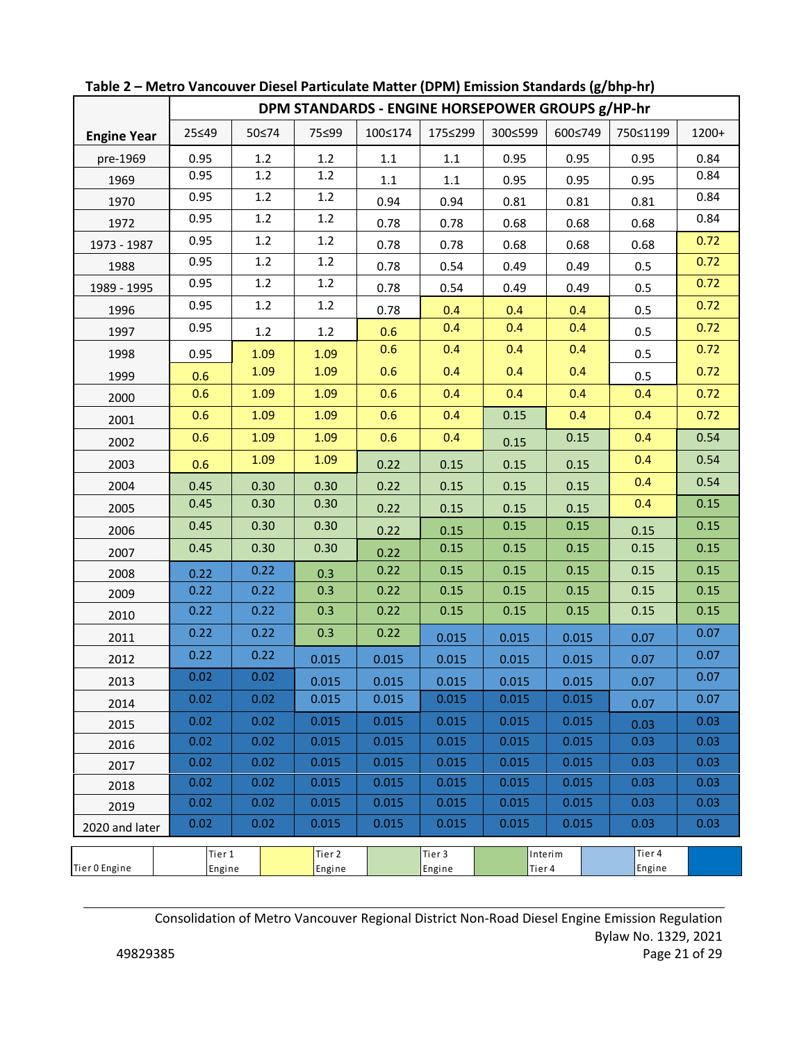|                    |                  | DPM STANDARDS - ENGINE HORSEPOWER GROUPS g/HP-hr |                  |         |                  |         |         |                  |       |
|--------------------|------------------|--------------------------------------------------|------------------|---------|------------------|---------|---------|------------------|-------|
| <b>Engine Year</b> | 25≤49            | 50≤74                                            | 75≤99            | 100≤174 | 175≤299          | 300≤599 | 600≤749 | 750≤1199         | 1200+ |
| pre-1969           | 0.95             | 1.2                                              | 1.2              | 1.1     | 1.1              | 0.95    | 0.95    | 0.95             | 0.84  |
| 1969               | 0.95             | 1.2                                              | $1.2\,$          | $1.1\,$ | $1.1\,$          | 0.95    | 0.95    | 0.95             | 0.84  |
| 1970               | 0.95             | 1.2                                              | $1.2\,$          | 0.94    | 0.94             | 0.81    | 0.81    | 0.81             | 0.84  |
| 1972               | 0.95             | 1.2                                              | $1.2\,$          | 0.78    | 0.78             | 0.68    | 0.68    | 0.68             | 0.84  |
| 1973 - 1987        | 0.95             | 1.2                                              | $1.2\,$          | 0.78    | 0.78             | 0.68    | 0.68    | 0.68             | 0.72  |
| 1988               | 0.95             | 1.2                                              | 1.2              | 0.78    | 0.54             | 0.49    | 0.49    | 0.5              | 0.72  |
| 1989 - 1995        | 0.95             | 1.2                                              | 1.2              | 0.78    | 0.54             | 0.49    | 0.49    | 0.5              | 0.72  |
| 1996               | 0.95             | 1.2                                              | 1.2              | 0.78    | 0.4              | 0.4     | 0.4     | 0.5              | 0.72  |
| 1997               | 0.95             | 1.2                                              | 1.2              | 0.6     | 0.4              | 0.4     | 0.4     | 0.5              | 0.72  |
| 1998               | 0.95             | 1.09                                             | 1.09             | 0.6     | 0.4              | 0.4     | 0.4     | 0.5              | 0.72  |
| 1999               | 0.6              | 1.09                                             | 1.09             | 0.6     | 0.4              | 0.4     | 0.4     | 0.5              | 0.72  |
| 2000               | 0.6              | 1.09                                             | 1.09             | 0.6     | 0.4              | 0.4     | 0.4     | 0.4              | 0.72  |
| 2001               | 0.6              | 1.09                                             | 1.09             | 0.6     | 0.4              | 0.15    | 0.4     | 0.4              | 0.72  |
| 2002               | 0.6              | 1.09                                             | 1.09             | 0.6     | 0.4              | 0.15    | 0.15    | 0.4              | 0.54  |
| 2003               | 0.6              | 1.09                                             | 1.09             | 0.22    | 0.15             | 0.15    | 0.15    | 0.4              | 0.54  |
| 2004               | 0.45             | 0.30                                             | 0.30             | 0.22    | 0.15             | 0.15    | 0.15    | 0.4              | 0.54  |
| 2005               | 0.45             | 0.30                                             | 0.30             | 0.22    | 0.15             | 0.15    | 0.15    | 0.4              | 0.15  |
| 2006               | 0.45             | 0.30                                             | 0.30             | 0.22    | 0.15             | 0.15    | 0.15    | 0.15             | 0.15  |
| 2007               | 0.45             | 0.30                                             | 0.30             | 0.22    | 0.15             | 0.15    | 0.15    | 0.15             | 0.15  |
| 2008               | 0.22             | 0.22                                             | 0.3              | 0.22    | 0.15             | 0.15    | 0.15    | 0.15             | 0.15  |
| 2009               | 0.22             | 0.22                                             | 0.3              | 0.22    | 0.15             | 0.15    | 0.15    | 0.15             | 0.15  |
| 2010               | 0.22             | 0.22                                             | 0.3              | 0.22    | 0.15             | 0.15    | 0.15    | 0.15             | 0.15  |
| 2011               | 0.22             | 0.22                                             | 0.3              | 0.22    | 0.015            | 0.015   | 0.015   | 0.07             | 0.07  |
| 2012               | 0.22             | 0.22                                             | 0.015            | 0.015   | 0.015            | 0.015   | 0.015   | 0.07             | 0.07  |
| 2013               | 0.02             | 0.02                                             | 0.015            | 0.015   | 0.015            | 0.015   | 0.015   | 0.07             | 0.07  |
| 2014               | 0.02             | 0.02                                             | 0.015            | 0.015   | 0.015            | 0.015   | 0.015   | 0.07             | 0.07  |
| 2015               | 0.02             | 0.02                                             | 0.015            | 0.015   | 0.015            | 0.015   | 0.015   | 0.03             | 0.03  |
| 2016               | 0.02             | 0.02                                             | 0.015            | 0.015   | 0.015            | 0.015   | 0.015   | 0.03             | 0.03  |
| 2017               | 0.02             | 0.02                                             | 0.015            | 0.015   | 0.015            | 0.015   | 0.015   | 0.03             | 0.03  |
| 2018               | 0.02             | 0.02                                             | 0.015            | 0.015   | 0.015            | 0.015   | 0.015   | 0.03             | 0.03  |
| 2019               | 0.02             | 0.02                                             | 0.015            | 0.015   | 0.015            | 0.015   | 0.015   | 0.03             | 0.03  |
| 2020 and later     | 0.02             | 0.02                                             | 0.015            | 0.015   | 0.015            | 0.015   | 0.015   | 0.03             | 0.03  |
| Tier 0 Engine      | Tier 1<br>Engine |                                                  | Tier 2<br>Engine |         | Tier 3<br>Engine | Tier 4  | Interim | Tier 4<br>Engine |       |

**Table 2 – Metro Vancouver Diesel Particulate Matter (DPM) Emission Standards (g/bhp‐hr)** 

Consolidation of Metro Vancouver Regional District Non‐Road Diesel Engine Emission Regulation Bylaw No. 1329, 2021 49829385 Page 21 of 29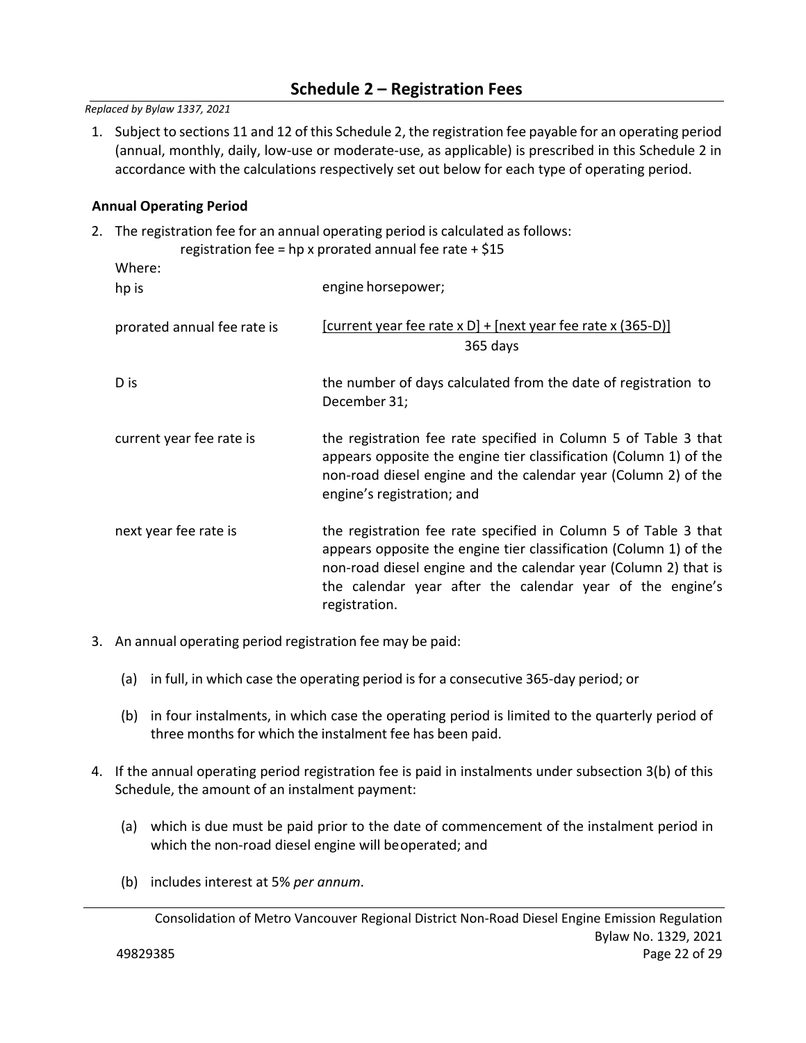# **Schedule 2 – Registration Fees**

*Replaced by Bylaw 1337, 2021* 

1. Subject to sections 11 and 12 of this Schedule 2, the registration fee payable for an operating period (annual, monthly, daily, low‐use or moderate‐use, as applicable) is prescribed in this Schedule 2 in accordance with the calculations respectively set out below for each type of operating period.

#### **Annual Operating Period**

2. The registration fee for an annual operating period is calculated as follows: registration fee = hp x prorated annual fee rate  $+$  \$15

| $1$ chocked that the $\sim$ 11p $\lambda$ protated difficult technics $\pm$ 9.19 |                                                                                                                                                                                                                                                                                       |  |  |
|----------------------------------------------------------------------------------|---------------------------------------------------------------------------------------------------------------------------------------------------------------------------------------------------------------------------------------------------------------------------------------|--|--|
| Where:<br>hp is                                                                  | engine horsepower;                                                                                                                                                                                                                                                                    |  |  |
| prorated annual fee rate is                                                      | $[current$ year fee rate x D $]+[next$ year fee rate x (365-D)]<br>365 days                                                                                                                                                                                                           |  |  |
| D is                                                                             | the number of days calculated from the date of registration to<br>December 31;                                                                                                                                                                                                        |  |  |
| current year fee rate is                                                         | the registration fee rate specified in Column 5 of Table 3 that<br>appears opposite the engine tier classification (Column 1) of the<br>non-road diesel engine and the calendar year (Column 2) of the<br>engine's registration; and                                                  |  |  |
| next year fee rate is                                                            | the registration fee rate specified in Column 5 of Table 3 that<br>appears opposite the engine tier classification (Column 1) of the<br>non-road diesel engine and the calendar year (Column 2) that is<br>the calendar year after the calendar year of the engine's<br>registration. |  |  |

- 3. An annual operating period registration fee may be paid:
	- (a) in full, in which case the operating period is for a consecutive 365‐day period; or
	- (b) in four instalments, in which case the operating period is limited to the quarterly period of three months for which the instalment fee has been paid.
- 4. If the annual operating period registration fee is paid in instalments under subsection 3(b) of this Schedule, the amount of an instalment payment:
	- (a) which is due must be paid prior to the date of commencement of the instalment period in which the non‐road diesel engine will be operated; and
	- (b) includes interest at 5% *per annum*.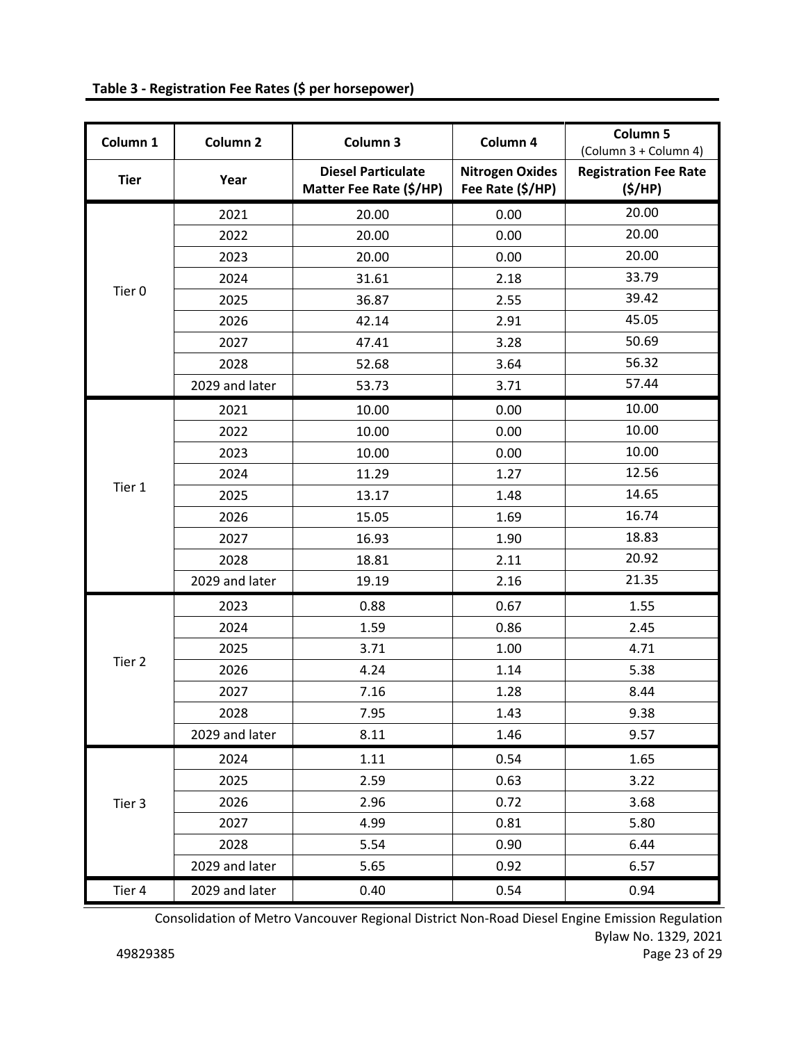| Column 1          | Column <sub>2</sub> | Column 3                                             | Column 4                                   | Column 5<br>(Column 3 + Column 4)      |
|-------------------|---------------------|------------------------------------------------------|--------------------------------------------|----------------------------------------|
| <b>Tier</b>       | Year                | <b>Diesel Particulate</b><br>Matter Fee Rate (\$/HP) | <b>Nitrogen Oxides</b><br>Fee Rate (\$/HP) | <b>Registration Fee Rate</b><br>(S/HP) |
|                   | 2021                | 20.00                                                | 0.00                                       | 20.00                                  |
|                   | 2022                | 20.00                                                | 0.00                                       | 20.00                                  |
|                   | 2023                | 20.00                                                | 0.00                                       | 20.00                                  |
|                   | 2024                | 31.61                                                | 2.18                                       | 33.79                                  |
| Tier <sub>0</sub> | 2025                | 36.87                                                | 2.55                                       | 39.42                                  |
|                   | 2026                | 42.14                                                | 2.91                                       | 45.05                                  |
|                   | 2027                | 47.41                                                | 3.28                                       | 50.69                                  |
|                   | 2028                | 52.68                                                | 3.64                                       | 56.32                                  |
|                   | 2029 and later      | 53.73                                                | 3.71                                       | 57.44                                  |
|                   | 2021                | 10.00                                                | 0.00                                       | 10.00                                  |
|                   | 2022                | 10.00                                                | 0.00                                       | 10.00                                  |
|                   | 2023                | 10.00                                                | 0.00                                       | 10.00                                  |
|                   | 2024                | 11.29                                                | 1.27                                       | 12.56                                  |
| Tier 1            | 2025                | 13.17                                                | 1.48                                       | 14.65                                  |
|                   | 2026                | 15.05                                                | 1.69                                       | 16.74                                  |
|                   | 2027                | 16.93                                                | 1.90                                       | 18.83                                  |
|                   | 2028                | 18.81                                                | 2.11                                       | 20.92                                  |
|                   | 2029 and later      | 19.19                                                | 2.16                                       | 21.35                                  |
|                   | 2023                | 0.88                                                 | 0.67                                       | 1.55                                   |
|                   | 2024                | 1.59                                                 | 0.86                                       | 2.45                                   |
|                   | 2025                | 3.71                                                 | 1.00                                       | 4.71                                   |
| Tier 2            | 2026                | 4.24                                                 | 1.14                                       | 5.38                                   |
|                   | 2027                | 7.16                                                 | 1.28                                       | 8.44                                   |
|                   | 2028                | 7.95                                                 | 1.43                                       | 9.38                                   |
|                   | 2029 and later      | 8.11                                                 | 1.46                                       | 9.57                                   |
| Tier 3            | 2024                | 1.11                                                 | 0.54                                       | 1.65                                   |
|                   | 2025                | 2.59                                                 | 0.63                                       | 3.22                                   |
|                   | 2026                | 2.96                                                 | 0.72                                       | 3.68                                   |
|                   | 2027                | 4.99                                                 | 0.81                                       | 5.80                                   |
|                   | 2028                | 5.54                                                 | 0.90                                       | 6.44                                   |
|                   | 2029 and later      | 5.65                                                 | 0.92                                       | 6.57                                   |
| Tier 4            | 2029 and later      | 0.40                                                 | 0.54                                       | 0.94                                   |

**Table 3 ‐ Registration Fee Rates (\$ per horsepower)** 

Consolidation of Metro Vancouver Regional District Non‐Road Diesel Engine Emission Regulation Bylaw No. 1329, 2021 49829385 Page 23 of 29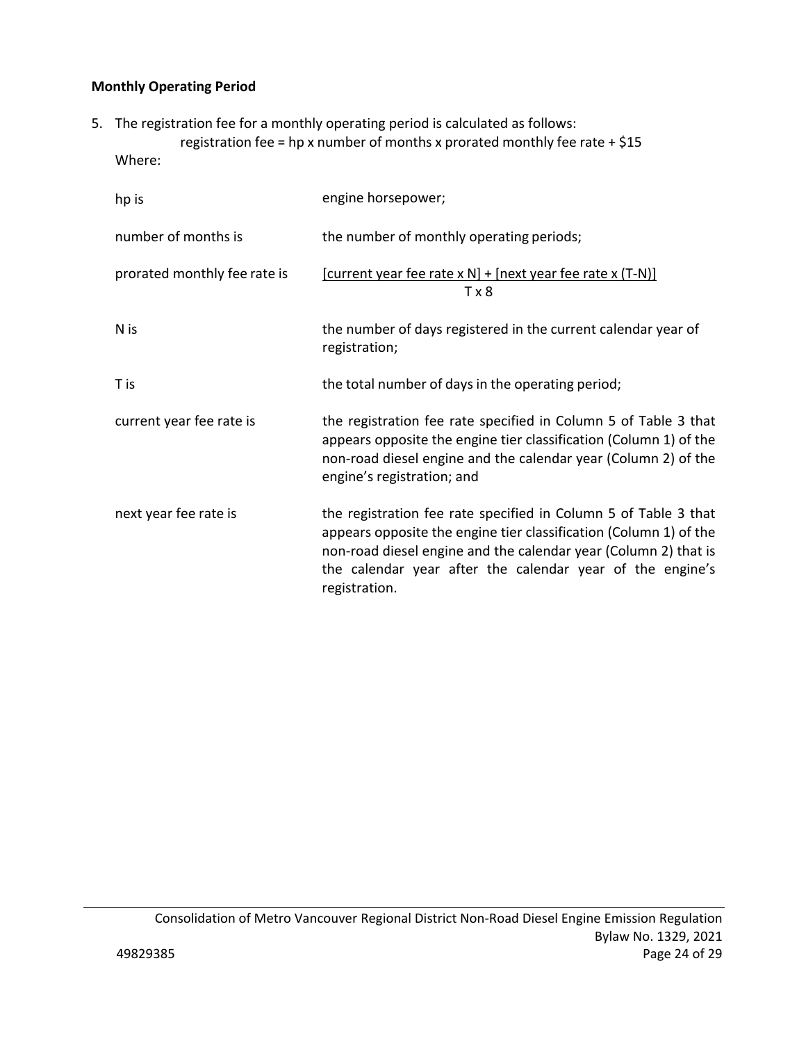## **Monthly Operating Period**

- 5. The registration fee for a monthly operating period is calculated as follows: registration fee = hp x number of months x prorated monthly fee rate +  $$15$ 
	- Where:

| hp is                        | engine horsepower;                                                                                                                                                                                                                                                                    |
|------------------------------|---------------------------------------------------------------------------------------------------------------------------------------------------------------------------------------------------------------------------------------------------------------------------------------|
| number of months is          | the number of monthly operating periods;                                                                                                                                                                                                                                              |
| prorated monthly fee rate is | $[current year fee rate x N] + [next year fee rate x (T-N)]$<br>T x 8                                                                                                                                                                                                                 |
| N is                         | the number of days registered in the current calendar year of<br>registration;                                                                                                                                                                                                        |
| T is                         | the total number of days in the operating period;                                                                                                                                                                                                                                     |
| current year fee rate is     | the registration fee rate specified in Column 5 of Table 3 that<br>appears opposite the engine tier classification (Column 1) of the<br>non-road diesel engine and the calendar year (Column 2) of the<br>engine's registration; and                                                  |
| next year fee rate is        | the registration fee rate specified in Column 5 of Table 3 that<br>appears opposite the engine tier classification (Column 1) of the<br>non-road diesel engine and the calendar year (Column 2) that is<br>the calendar year after the calendar year of the engine's<br>registration. |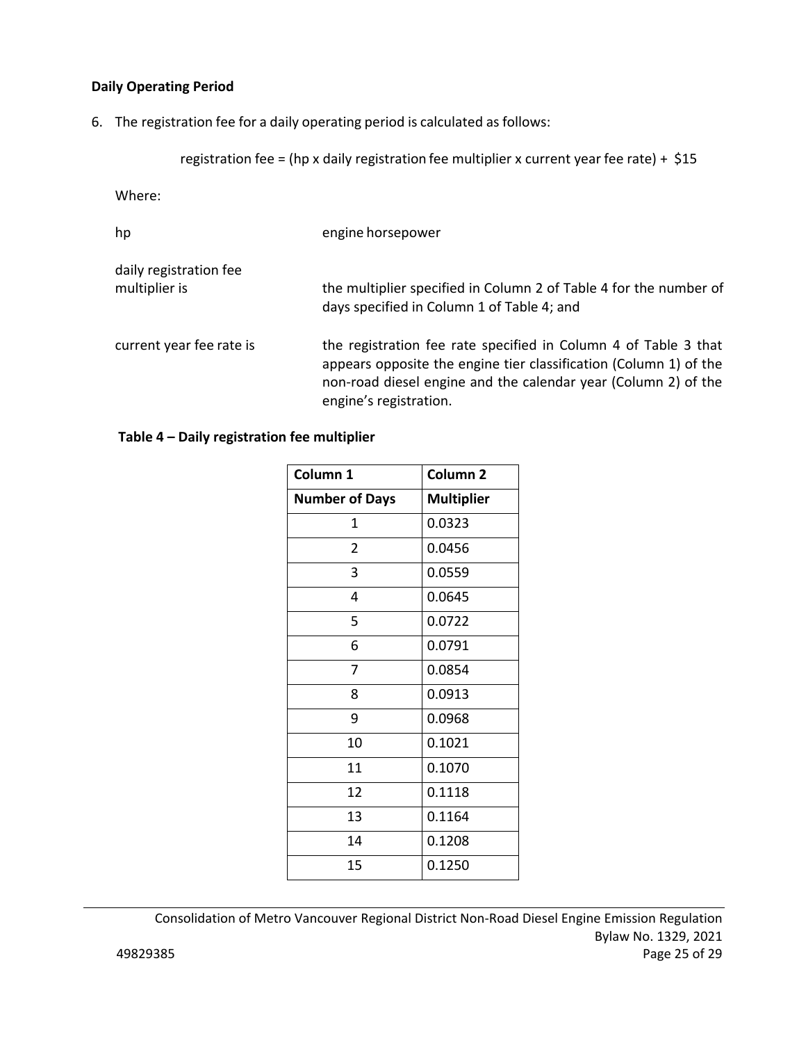## **Daily Operating Period**

6. The registration fee for a daily operating period is calculated as follows:

registration fee = (hp x daily registration fee multiplier x current year fee rate) + \$15

Where:

| hp                                      | engine horsepower                                                                                                                                                                                                                |
|-----------------------------------------|----------------------------------------------------------------------------------------------------------------------------------------------------------------------------------------------------------------------------------|
| daily registration fee<br>multiplier is | the multiplier specified in Column 2 of Table 4 for the number of<br>days specified in Column 1 of Table 4; and                                                                                                                  |
| current year fee rate is                | the registration fee rate specified in Column 4 of Table 3 that<br>appears opposite the engine tier classification (Column 1) of the<br>non-road diesel engine and the calendar year (Column 2) of the<br>engine's registration. |

## **Table 4 – Daily registration fee multiplier**

| Column 1              | Column <sub>2</sub> |
|-----------------------|---------------------|
| <b>Number of Days</b> | <b>Multiplier</b>   |
| 1                     | 0.0323              |
| $\overline{2}$        | 0.0456              |
| 3                     | 0.0559              |
| 4                     | 0.0645              |
| 5                     | 0.0722              |
| 6                     | 0.0791              |
| $\overline{7}$        | 0.0854              |
| 8                     | 0.0913              |
| 9                     | 0.0968              |
| 10                    | 0.1021              |
| 11                    | 0.1070              |
| 12                    | 0.1118              |
| 13                    | 0.1164              |
| 14                    | 0.1208              |
| 15                    | 0.1250              |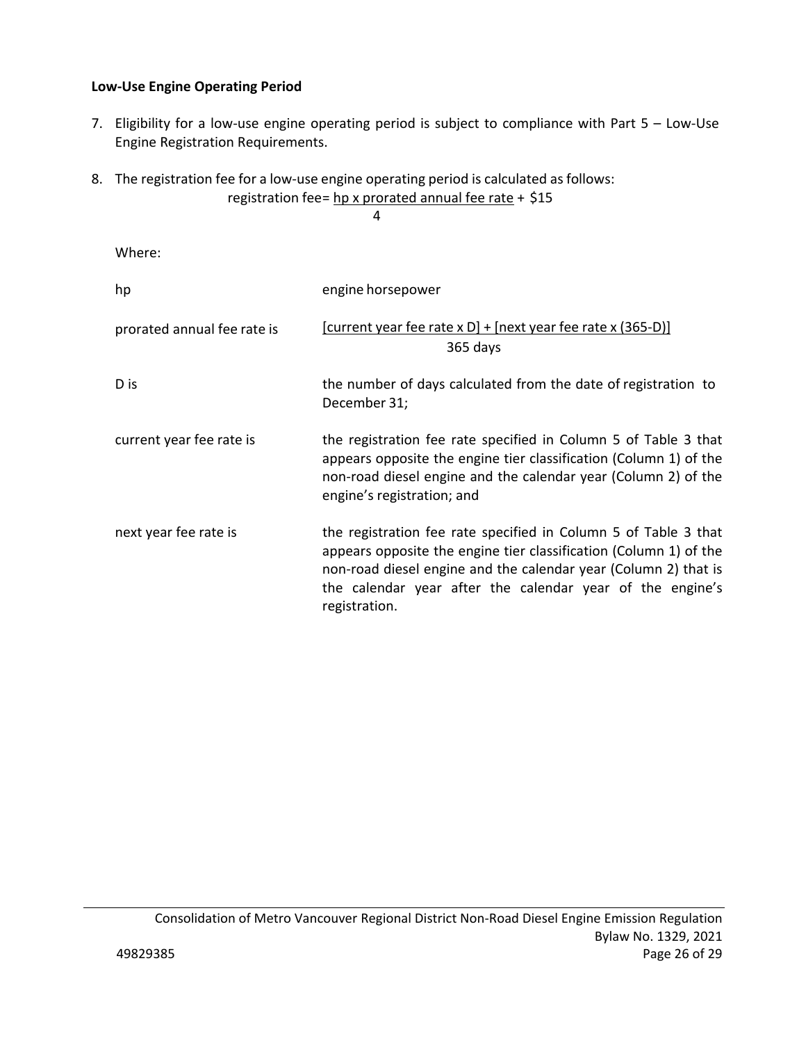## **Low‐Use Engine Operating Period**

- 7. Eligibility for a low-use engine operating period is subject to compliance with Part 5 Low-Use Engine Registration Requirements.
- 8. The registration fee for a low-use engine operating period is calculated as follows: registration fee = hp x prorated annual fee rate + \$15

4

Where:

| hp                          | engine horsepower                                                                                                                                                                                                                                                                     |
|-----------------------------|---------------------------------------------------------------------------------------------------------------------------------------------------------------------------------------------------------------------------------------------------------------------------------------|
| prorated annual fee rate is | [current year fee rate x D] + [next year fee rate x $(365-D)$ ]<br>365 days                                                                                                                                                                                                           |
| D is                        | the number of days calculated from the date of registration to<br>December 31;                                                                                                                                                                                                        |
| current year fee rate is    | the registration fee rate specified in Column 5 of Table 3 that<br>appears opposite the engine tier classification (Column 1) of the<br>non-road diesel engine and the calendar year (Column 2) of the<br>engine's registration; and                                                  |
| next year fee rate is       | the registration fee rate specified in Column 5 of Table 3 that<br>appears opposite the engine tier classification (Column 1) of the<br>non-road diesel engine and the calendar year (Column 2) that is<br>the calendar year after the calendar year of the engine's<br>registration. |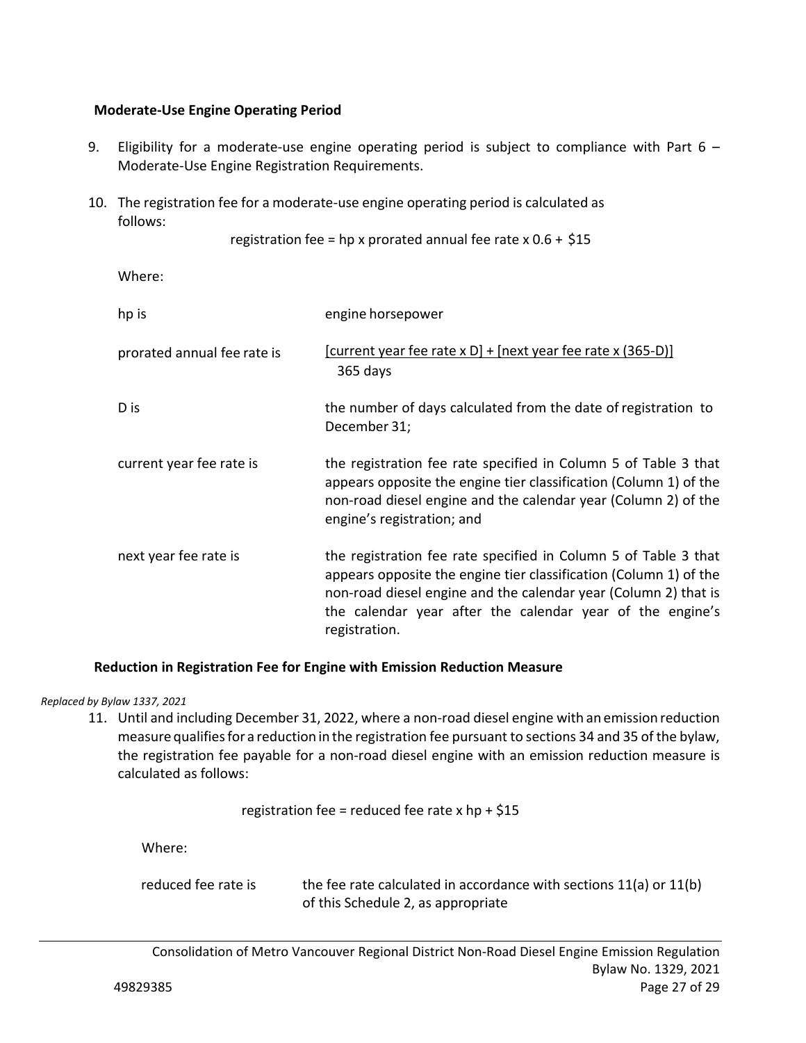### **Moderate‐Use Engine Operating Period**

- 9. Eligibility for a moderate-use engine operating period is subject to compliance with Part  $6 -$ Moderate‐Use Engine Registration Requirements.
- 10. The registration fee for a moderate‐use engine operating period is calculated as follows:

```
registration fee = hp x prorated annual fee rate x 0.6 + $15
```
Where:

| hp is                       | engine horsepower                                                                                                                                                                                                                                                                     |
|-----------------------------|---------------------------------------------------------------------------------------------------------------------------------------------------------------------------------------------------------------------------------------------------------------------------------------|
| prorated annual fee rate is | $[current$ year fee rate x D] + $[next$ year fee rate x (365-D)]<br>365 days                                                                                                                                                                                                          |
| D is                        | the number of days calculated from the date of registration to<br>December 31;                                                                                                                                                                                                        |
| current year fee rate is    | the registration fee rate specified in Column 5 of Table 3 that<br>appears opposite the engine tier classification (Column 1) of the<br>non-road diesel engine and the calendar year (Column 2) of the<br>engine's registration; and                                                  |
| next year fee rate is       | the registration fee rate specified in Column 5 of Table 3 that<br>appears opposite the engine tier classification (Column 1) of the<br>non-road diesel engine and the calendar year (Column 2) that is<br>the calendar year after the calendar year of the engine's<br>registration. |

## **Reduction in Registration Fee for Engine with Emission Reduction Measure**

*Replaced by Bylaw 1337, 2021* 

11. Until and including December 31, 2022, where a non-road diesel engine with an emission reduction measure qualifies for a reduction in the registration fee pursuant to sections 34 and 35 of the bylaw, the registration fee payable for a non‐road diesel engine with an emission reduction measure is calculated as follows:

registration fee = reduced fee rate  $x$  hp + \$15

Where:

reduced fee rate is the fee rate calculated in accordance with sections 11(a) or 11(b) of this Schedule 2, as appropriate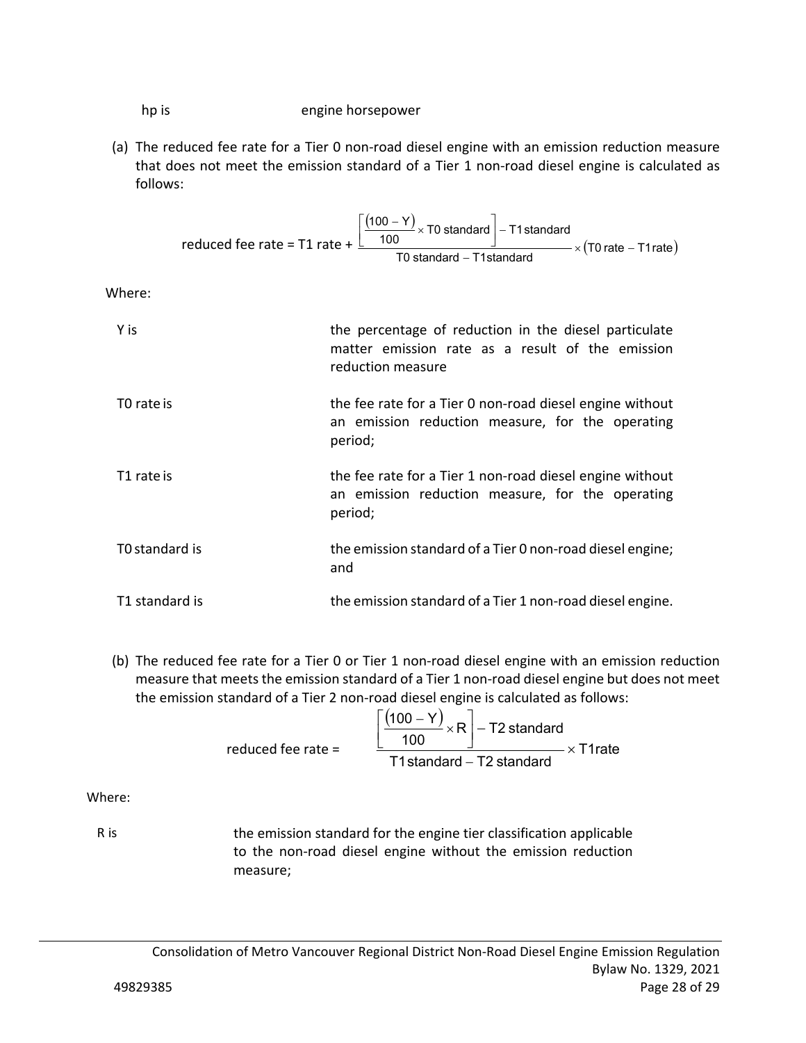hp is **helphaneled** is the engine horsepower

(a) The reduced fee rate for a Tier 0 non‐road diesel engine with an emission reduction measure that does not meet the emission standard of a Tier 1 non-road diesel engine is calculated as follows:

$$
reduced fee rate = T1 rate + \frac{\left[\frac{(100 - Y)}{100} \times T0 \text{ standard}\right] - T1 \text{ standard}}{T0 \text{ standard} - T1 \text{standard}} \times (T0 \text{ rate} - T1 \text{ rate})
$$

Where:

| Y is           | the percentage of reduction in the diesel particulate<br>matter emission rate as a result of the emission<br>reduction measure |
|----------------|--------------------------------------------------------------------------------------------------------------------------------|
| T0 rate is     | the fee rate for a Tier 0 non-road diesel engine without<br>an emission reduction measure, for the operating<br>period;        |
| T1 rate is     | the fee rate for a Tier 1 non-road diesel engine without<br>an emission reduction measure, for the operating<br>period;        |
| T0 standard is | the emission standard of a Tier 0 non-road diesel engine;<br>and                                                               |
| T1 standard is | the emission standard of a Tier 1 non-road diesel engine.                                                                      |

(b) The reduced fee rate for a Tier 0 or Tier 1 non‐road diesel engine with an emission reduction measure that meets the emission standard of a Tier 1 non‐road diesel engine but does not meet the emission standard of a Tier 2 non-road diesel engine is calculated as follows:

| reduced fee rate $=$ | $(100 - Y)$<br>$\sqrt{2} \times R$ $-$ T2 standard<br>100 I<br>$\times$ T1rate |
|----------------------|--------------------------------------------------------------------------------|
|                      | T1 standard – T2 standard                                                      |

Where:

 R is the emission standard for the engine tier classification applicable to the non‐road diesel engine without the emission reduction measure;